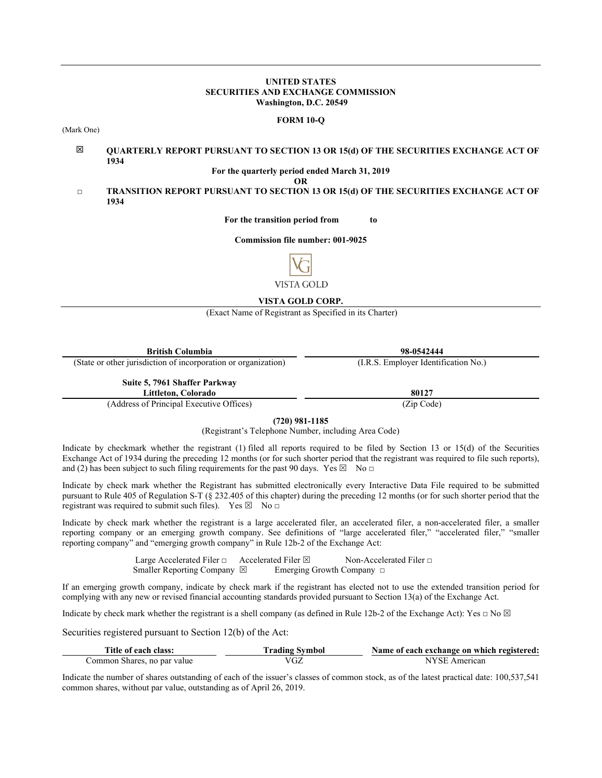#### **UNITED STATES SECURITIES AND EXCHANGE COMMISSION Washington, D.C. 20549**

#### **FORM 10-Q**

(Mark One)

#### 図 **QUARTERLY REPORT PURSUANT TO SECTION 13 OR 15(d) OF THE SECURITIES EXCHANGE ACT OF 1934**

#### **For the quarterly period ended March 31, 2019**

**OR**

□ **TRANSITION REPORT PURSUANT TO SECTION 13 OR 15(d) OF THE SECURITIES EXCHANGE ACT OF 1934**

**For the transition period from to**

#### **Commission file number: 001-9025**



**VISTA GOLD CORP.** 

(Exact Name of Registrant as Specified in its Charter)

| <b>British Columbia</b>                                        | 98-0542444                           |
|----------------------------------------------------------------|--------------------------------------|
| (State or other jurisdiction of incorporation or organization) | (I.R.S. Employer Identification No.) |
| Suite 5, 7961 Shaffer Parkway<br>Littleton, Colorado           | 80127                                |
| $(11 \t{cm} \cdot 1)$                                          | (7.01)                               |

(Address of Principal Executive Offices) (Zip Code)

**(720) 981-1185**

(Registrant's Telephone Number, including Area Code)

Indicate by checkmark whether the registrant (1) filed all reports required to be filed by Section 13 or 15(d) of the Securities Exchange Act of 1934 during the preceding 12 months (or for such shorter period that the registrant was required to file such reports), and (2) has been subject to such filing requirements for the past 90 days. Yes  $\boxtimes$  No  $\Box$ 

Indicate by check mark whether the Registrant has submitted electronically every Interactive Data File required to be submitted pursuant to Rule 405 of Regulation S-T (§ 232.405 of this chapter) during the preceding 12 months (or for such shorter period that the registrant was required to submit such files). Yes  $\boxtimes$  No  $\Box$ 

Indicate by check mark whether the registrant is a large accelerated filer, an accelerated filer, a non-accelerated filer, a smaller reporting company or an emerging growth company. See definitions of "large accelerated filer," "accelerated filer," "smaller reporting company" and "emerging growth company" in Rule 12b-2 of the Exchange Act:

> Large Accelerated Filer □ Accelerated Filer **□** Non-Accelerated Filer □ Smaller Reporting Company **⊠** Emerging Growth Company **□**

If an emerging growth company, indicate by check mark if the registrant has elected not to use the extended transition period for complying with any new or revised financial accounting standards provided pursuant to Section 13(a) of the Exchange Act.

Indicate by check mark whether the registrant is a shell company (as defined in Rule 12b-2 of the Exchange Act): Yes **□** No

Securities registered pursuant to Section 12(b) of the Act:

| Title of each class:        | "rading Svmbol | Name of each exchange on which registered: |
|-----------------------------|----------------|--------------------------------------------|
| Common Shares, no par value | ′∪∠            | American                                   |

Indicate the number of shares outstanding of each of the issuer's classes of common stock, as of the latest practical date: 100,537,541 common shares, without par value, outstanding as of April 26, 2019.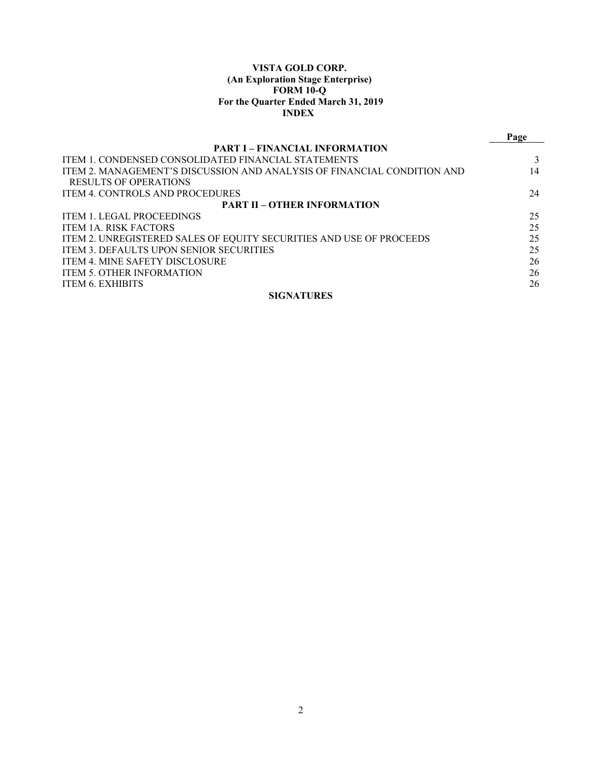## **VISTA GOLD CORP. (An Exploration Stage Enterprise) FORM 10-Q For the Quarter Ended March 31, 2019 INDEX**

|                                                                         | Page |
|-------------------------------------------------------------------------|------|
| <b>PART I – FINANCIAL INFORMATION</b>                                   |      |
| <b>ITEM 1. CONDENSED CONSOLIDATED FINANCIAL STATEMENTS</b>              |      |
| ITEM 2. MANAGEMENT'S DISCUSSION AND ANALYSIS OF FINANCIAL CONDITION AND | 14   |
| <b>RESULTS OF OPERATIONS</b>                                            |      |
| <b>ITEM 4. CONTROLS AND PROCEDURES</b>                                  | 24   |
| <b>PART II - OTHER INFORMATION</b>                                      |      |
| <b>ITEM 1. LEGAL PROCEEDINGS</b>                                        | 25   |
| <b>ITEM 1A. RISK FACTORS</b>                                            | 25   |
| ITEM 2. UNREGISTERED SALES OF EQUITY SECURITIES AND USE OF PROCEEDS     | 25   |
| ITEM 3. DEFAULTS UPON SENIOR SECURITIES                                 | 25   |
| <b>ITEM 4. MINE SAFETY DISCLOSURE</b>                                   | 26   |
| ITEM 5. OTHER INFORMATION                                               | 26   |
| <b>ITEM 6. EXHIBITS</b>                                                 | 26   |
| <b>SIGNATURES</b>                                                       |      |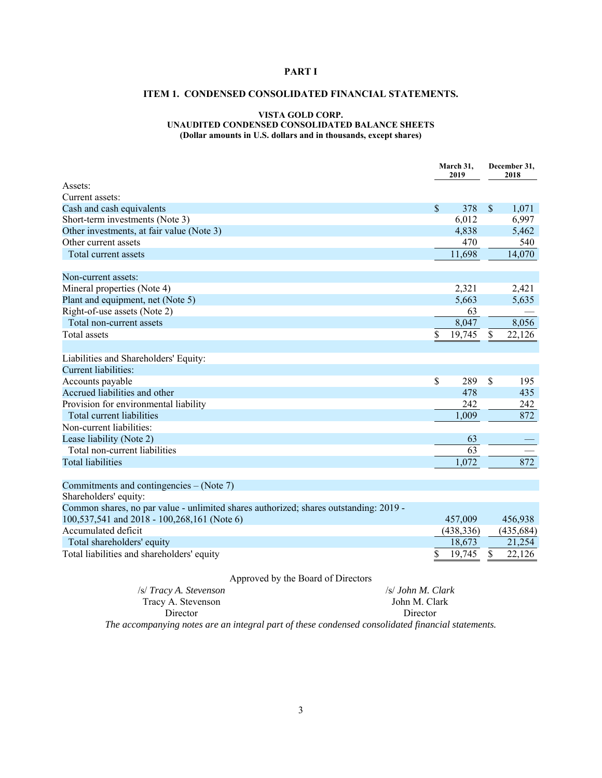## **PART I**

# **ITEM 1. CONDENSED CONSOLIDATED FINANCIAL STATEMENTS.**

### **VISTA GOLD CORP. UNAUDITED CONDENSED CONSOLIDATED BALANCE SHEETS (Dollar amounts in U.S. dollars and in thousands, except shares)**

|                                                                                       | March 31,<br>2019 |            |               |            | December 31,<br>2018 |  |
|---------------------------------------------------------------------------------------|-------------------|------------|---------------|------------|----------------------|--|
| Assets:                                                                               |                   |            |               |            |                      |  |
| Current assets:                                                                       |                   |            |               |            |                      |  |
| Cash and cash equivalents                                                             | $\mathcal{S}$     | 378        | $\mathsf{\$}$ | 1,071      |                      |  |
| Short-term investments (Note 3)                                                       |                   | 6,012      |               | 6,997      |                      |  |
| Other investments, at fair value (Note 3)                                             |                   | 4,838      |               | 5,462      |                      |  |
| Other current assets                                                                  |                   | 470        |               | 540        |                      |  |
| Total current assets                                                                  |                   | 11,698     |               | 14,070     |                      |  |
| Non-current assets:                                                                   |                   |            |               |            |                      |  |
| Mineral properties (Note 4)                                                           |                   | 2,321      |               | 2,421      |                      |  |
| Plant and equipment, net (Note 5)                                                     |                   | 5,663      |               | 5,635      |                      |  |
| Right-of-use assets (Note 2)                                                          |                   | 63         |               |            |                      |  |
| Total non-current assets                                                              |                   | 8,047      |               | 8,056      |                      |  |
| <b>Total</b> assets                                                                   | \$                | 19,745     | $\mathcal{S}$ | 22,126     |                      |  |
| Liabilities and Shareholders' Equity:                                                 |                   |            |               |            |                      |  |
| Current liabilities:                                                                  |                   |            |               |            |                      |  |
| Accounts payable                                                                      | $\mathcal{S}$     | 289        | \$            | 195        |                      |  |
| Accrued liabilities and other                                                         |                   | 478        |               | 435        |                      |  |
| Provision for environmental liability                                                 |                   | 242        |               | 242        |                      |  |
| Total current liabilities                                                             |                   | 1,009      |               | 872        |                      |  |
| Non-current liabilities:                                                              |                   |            |               |            |                      |  |
| Lease liability (Note 2)                                                              |                   | 63         |               |            |                      |  |
| Total non-current liabilities                                                         |                   | 63         |               |            |                      |  |
| <b>Total liabilities</b>                                                              |                   | 1,072      |               | 872        |                      |  |
|                                                                                       |                   |            |               |            |                      |  |
| Commitments and contingencies – (Note 7)<br>Shareholders' equity:                     |                   |            |               |            |                      |  |
| Common shares, no par value - unlimited shares authorized; shares outstanding: 2019 - |                   |            |               |            |                      |  |
| 100,537,541 and 2018 - 100,268,161 (Note 6)                                           |                   | 457,009    |               | 456,938    |                      |  |
| Accumulated deficit                                                                   |                   | (438, 336) |               | (435, 684) |                      |  |
| Total shareholders' equity                                                            |                   | 18,673     |               | 21,254     |                      |  |
| Total liabilities and shareholders' equity                                            | \$                | 19,745     | \$            | 22,126     |                      |  |
| Approved by the Board of Directors                                                    |                   |            |               |            |                      |  |

/s/ *Tracy A. Stevenson* Tracy A. Stevenson Director /s/ *John M. Clark* John M. Clark Director *The accompanying notes are an integral part of these condensed consolidated financial statements.*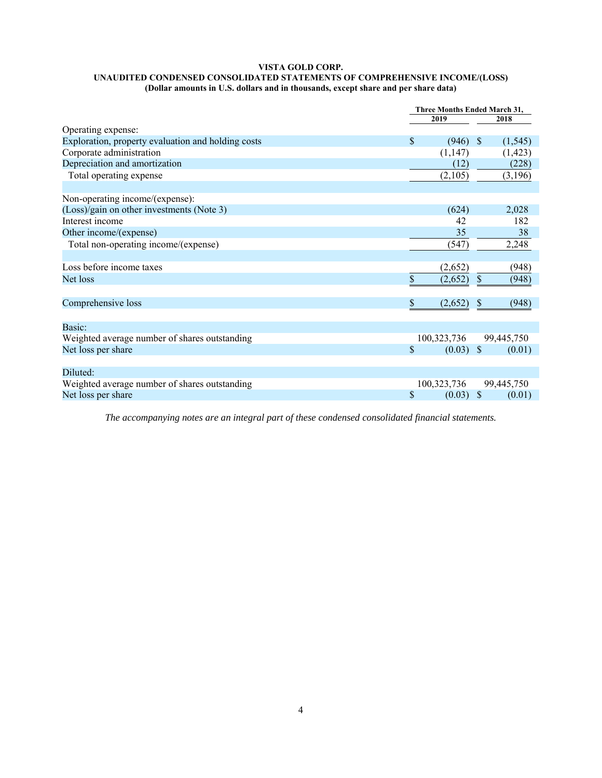#### **VISTA GOLD CORP. UNAUDITED CONDENSED CONSOLIDATED STATEMENTS OF COMPREHENSIVE INCOME/(LOSS) (Dollar amounts in U.S. dollars and in thousands, except share and per share data)**

|                                                    |    | Three Months Ended March 31, |                           |            |  |
|----------------------------------------------------|----|------------------------------|---------------------------|------------|--|
|                                                    |    | 2019                         |                           | 2018       |  |
| Operating expense:                                 |    |                              |                           |            |  |
| Exploration, property evaluation and holding costs | \$ | (946)                        | -S                        | (1, 545)   |  |
| Corporate administration                           |    | (1,147)                      |                           | (1, 423)   |  |
| Depreciation and amortization                      |    | (12)                         |                           | (228)      |  |
| Total operating expense                            |    | (2,105)                      |                           | (3,196)    |  |
|                                                    |    |                              |                           |            |  |
| Non-operating income/(expense):                    |    |                              |                           |            |  |
| (Loss)/gain on other investments (Note 3)          |    | (624)                        |                           | 2,028      |  |
| Interest income                                    |    | 42                           |                           | 182        |  |
| Other income/(expense)                             |    | 35                           |                           | 38         |  |
| Total non-operating income/(expense)               |    | (547)                        |                           | 2,248      |  |
|                                                    |    |                              |                           |            |  |
| Loss before income taxes                           |    | (2,652)                      |                           | (948)      |  |
| Net loss                                           | \$ | (2,652)                      | $\boldsymbol{\mathsf{S}}$ | (948)      |  |
|                                                    |    |                              |                           |            |  |
| Comprehensive loss                                 | S  | (2,652)                      | <sup>\$</sup>             | (948)      |  |
|                                                    |    |                              |                           |            |  |
| Basic:                                             |    |                              |                           |            |  |
| Weighted average number of shares outstanding      |    | 100,323,736                  |                           | 99,445,750 |  |
| Net loss per share                                 | \$ | $(0.03)$ \$                  |                           | (0.01)     |  |
|                                                    |    |                              |                           |            |  |
| Diluted:                                           |    |                              |                           |            |  |
| Weighted average number of shares outstanding      |    | 100,323,736                  |                           | 99,445,750 |  |
| Net loss per share                                 | \$ | (0.03)                       | $\sqrt{3}$                | (0.01)     |  |
|                                                    |    |                              |                           |            |  |

*The accompanying notes are an integral part of these condensed consolidated financial statements.*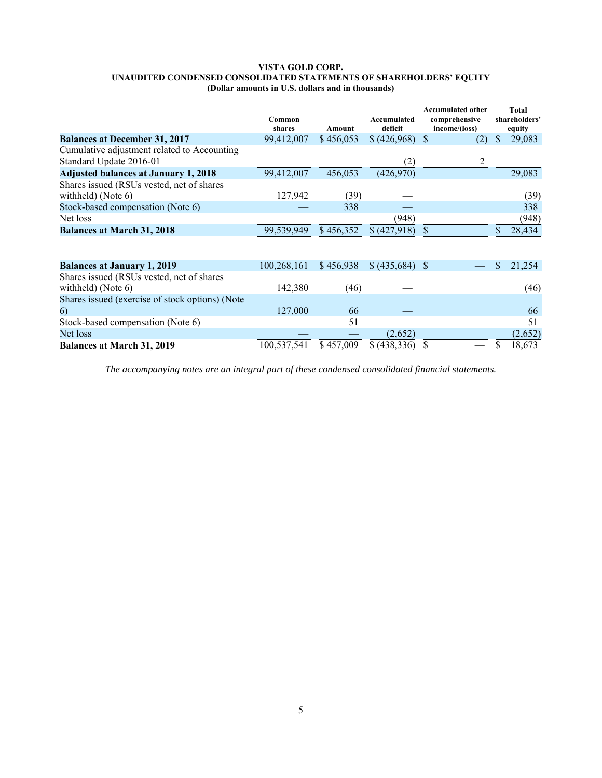#### **VISTA GOLD CORP. UNAUDITED CONDENSED CONSOLIDATED STATEMENTS OF SHAREHOLDERS' EQUITY (Dollar amounts in U.S. dollars and in thousands)**

|                                                                        | Common<br>shares | Amount    | Accumulated<br>deficit | <b>Accumulated other</b><br>comprehensive<br>income/(loss) | Total<br>shareholders'<br>equity |
|------------------------------------------------------------------------|------------------|-----------|------------------------|------------------------------------------------------------|----------------------------------|
| <b>Balances at December 31, 2017</b>                                   | 99,412,007       | \$456,053 | (426,968)              | $\mathcal{S}$<br>(2)                                       | \$<br>29,083                     |
| Cumulative adjustment related to Accounting<br>Standard Update 2016-01 |                  |           | (2)                    | 2                                                          |                                  |
| <b>Adjusted balances at January 1, 2018</b>                            | 99,412,007       | 456,053   | (426,970)              |                                                            | 29,083                           |
| Shares issued (RSUs vested, net of shares                              |                  |           |                        |                                                            |                                  |
| withheld) (Note 6)                                                     | 127,942          | (39)      |                        |                                                            | (39)                             |
| Stock-based compensation (Note 6)                                      |                  | 338       |                        |                                                            | 338                              |
| Net loss                                                               |                  |           | (948)                  |                                                            | (948)                            |
| <b>Balances at March 31, 2018</b>                                      | 99,539,949       | \$456,352 | \$ (427,918)           | \$.                                                        | 28,434                           |
|                                                                        |                  |           |                        |                                                            |                                  |
| <b>Balances at January 1, 2019</b>                                     | 100,268,161      | \$456,938 |                        |                                                            | S<br>21,254                      |
| Shares issued (RSUs vested, net of shares<br>withheld) (Note 6)        | 142,380          | (46)      |                        |                                                            | (46)                             |
| Shares issued (exercise of stock options) (Note<br>6)                  | 127,000          | 66        |                        |                                                            | 66                               |
| Stock-based compensation (Note 6)                                      |                  | 51        |                        |                                                            | 51                               |
| Net loss                                                               |                  |           | (2,652)                |                                                            | (2,652)                          |
| <b>Balances at March 31, 2019</b>                                      | 100,537,541      | \$457,009 | \$ (438,336)           |                                                            | 18,673                           |

*The accompanying notes are an integral part of these condensed consolidated financial statements.*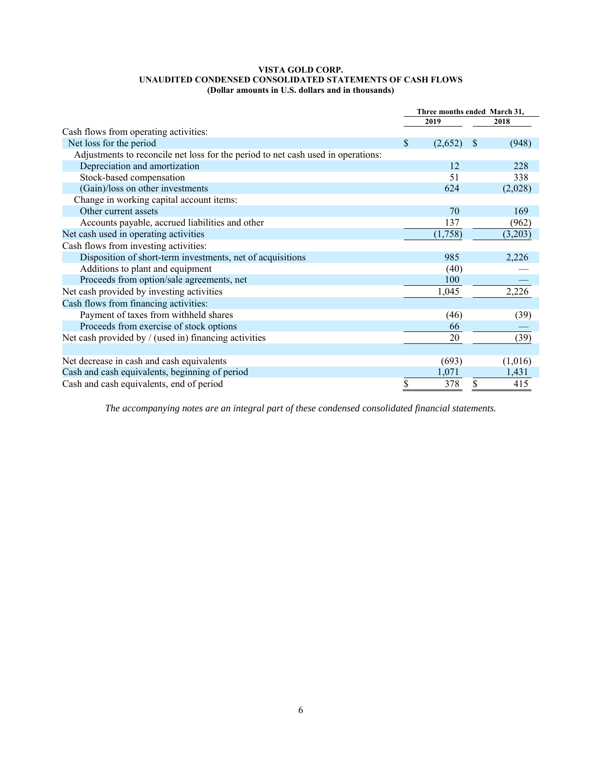#### **VISTA GOLD CORP. UNAUDITED CONDENSED CONSOLIDATED STATEMENTS OF CASH FLOWS (Dollar amounts in U.S. dollars and in thousands)**

|                                                                                  | Three months ended March 31, |         |              |         |  |
|----------------------------------------------------------------------------------|------------------------------|---------|--------------|---------|--|
|                                                                                  |                              | 2019    |              | 2018    |  |
| Cash flows from operating activities:                                            |                              |         |              |         |  |
| Net loss for the period                                                          | \$                           | (2,652) | <sup>8</sup> | (948)   |  |
| Adjustments to reconcile net loss for the period to net cash used in operations: |                              |         |              |         |  |
| Depreciation and amortization                                                    |                              | 12      |              | 228     |  |
| Stock-based compensation                                                         |                              | 51      |              | 338     |  |
| (Gain)/loss on other investments                                                 |                              | 624     |              | (2,028) |  |
| Change in working capital account items:                                         |                              |         |              |         |  |
| Other current assets                                                             |                              | 70      |              | 169     |  |
| Accounts payable, accrued liabilities and other                                  |                              | 137     |              | (962)   |  |
| Net cash used in operating activities                                            |                              | (1,758) |              | (3,203) |  |
| Cash flows from investing activities:                                            |                              |         |              |         |  |
| Disposition of short-term investments, net of acquisitions                       |                              | 985     |              | 2,226   |  |
| Additions to plant and equipment                                                 |                              | (40)    |              |         |  |
| Proceeds from option/sale agreements, net                                        |                              | 100     |              |         |  |
| Net cash provided by investing activities                                        |                              | 1,045   |              | 2,226   |  |
| Cash flows from financing activities:                                            |                              |         |              |         |  |
| Payment of taxes from withheld shares                                            |                              | (46)    |              | (39)    |  |
| Proceeds from exercise of stock options                                          |                              | 66      |              |         |  |
| Net cash provided by $/$ (used in) financing activities                          |                              | 20      |              | (39)    |  |
|                                                                                  |                              |         |              |         |  |
| Net decrease in cash and cash equivalents                                        |                              | (693)   |              | (1,016) |  |
| Cash and cash equivalents, beginning of period                                   |                              | 1,071   |              | 1,431   |  |
| Cash and cash equivalents, end of period                                         | \$                           | 378     | S            | 415     |  |

*The accompanying notes are an integral part of these condensed consolidated financial statements.*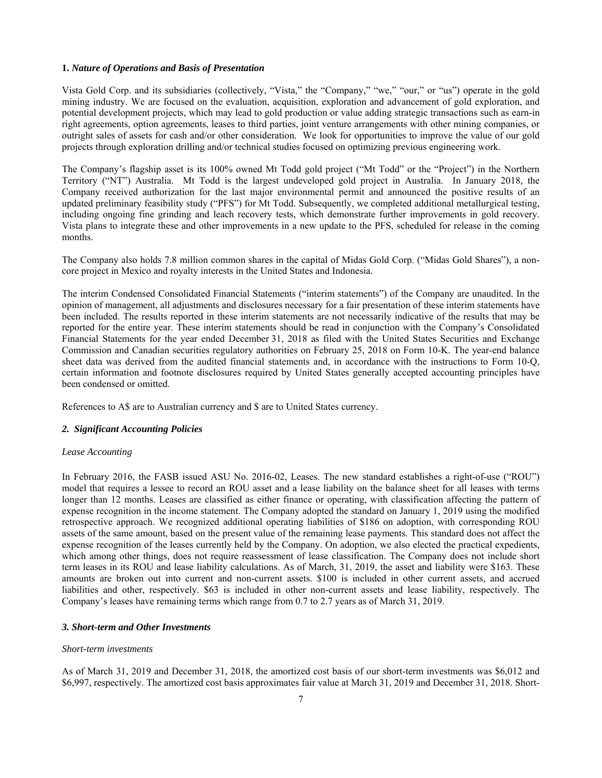#### **1.** *Nature of Operations and Basis of Presentation*

Vista Gold Corp. and its subsidiaries (collectively, "Vista," the "Company," "we," "our," or "us") operate in the gold mining industry. We are focused on the evaluation, acquisition, exploration and advancement of gold exploration, and potential development projects, which may lead to gold production or value adding strategic transactions such as earn-in right agreements, option agreements, leases to third parties, joint venture arrangements with other mining companies, or outright sales of assets for cash and/or other consideration. We look for opportunities to improve the value of our gold projects through exploration drilling and/or technical studies focused on optimizing previous engineering work.

The Company's flagship asset is its 100% owned Mt Todd gold project ("Mt Todd" or the "Project") in the Northern Territory ("NT") Australia. Mt Todd is the largest undeveloped gold project in Australia. In January 2018, the Company received authorization for the last major environmental permit and announced the positive results of an updated preliminary feasibility study ("PFS") for Mt Todd. Subsequently, we completed additional metallurgical testing, including ongoing fine grinding and leach recovery tests, which demonstrate further improvements in gold recovery. Vista plans to integrate these and other improvements in a new update to the PFS, scheduled for release in the coming months.

The Company also holds 7.8 million common shares in the capital of Midas Gold Corp. ("Midas Gold Shares"), a noncore project in Mexico and royalty interests in the United States and Indonesia.

The interim Condensed Consolidated Financial Statements ("interim statements") of the Company are unaudited. In the opinion of management, all adjustments and disclosures necessary for a fair presentation of these interim statements have been included. The results reported in these interim statements are not necessarily indicative of the results that may be reported for the entire year. These interim statements should be read in conjunction with the Company's Consolidated Financial Statements for the year ended December 31, 2018 as filed with the United States Securities and Exchange Commission and Canadian securities regulatory authorities on February 25, 2018 on Form 10-K. The year-end balance sheet data was derived from the audited financial statements and, in accordance with the instructions to Form 10-Q, certain information and footnote disclosures required by United States generally accepted accounting principles have been condensed or omitted.

References to A\$ are to Australian currency and \$ are to United States currency.

#### *2. Significant Accounting Policies*

#### *Lease Accounting*

In February 2016, the FASB issued ASU No. 2016-02, Leases. The new standard establishes a right-of-use ("ROU") model that requires a lessee to record an ROU asset and a lease liability on the balance sheet for all leases with terms longer than 12 months. Leases are classified as either finance or operating, with classification affecting the pattern of expense recognition in the income statement. The Company adopted the standard on January 1, 2019 using the modified retrospective approach. We recognized additional operating liabilities of \$186 on adoption, with corresponding ROU assets of the same amount, based on the present value of the remaining lease payments. This standard does not affect the expense recognition of the leases currently held by the Company. On adoption, we also elected the practical expedients, which among other things, does not require reassessment of lease classification. The Company does not include short term leases in its ROU and lease liability calculations. As of March, 31, 2019, the asset and liability were \$163. These amounts are broken out into current and non-current assets. \$100 is included in other current assets, and accrued liabilities and other, respectively. \$63 is included in other non-current assets and lease liability, respectively. The Company's leases have remaining terms which range from 0.7 to 2.7 years as of March 31, 2019.

#### *3. Short-term and Other Investments*

#### *Short-term investments*

As of March 31, 2019 and December 31, 2018, the amortized cost basis of our short-term investments was \$6,012 and \$6,997, respectively. The amortized cost basis approximates fair value at March 31, 2019 and December 31, 2018. Short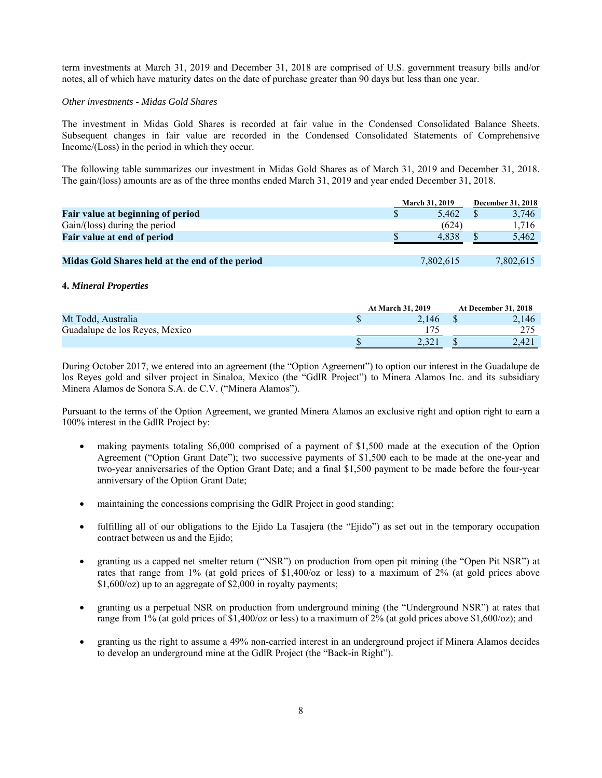term investments at March 31, 2019 and December 31, 2018 are comprised of U.S. government treasury bills and/or notes, all of which have maturity dates on the date of purchase greater than 90 days but less than one year.

#### *Other investments - Midas Gold Shares*

The investment in Midas Gold Shares is recorded at fair value in the Condensed Consolidated Balance Sheets. Subsequent changes in fair value are recorded in the Condensed Consolidated Statements of Comprehensive Income/(Loss) in the period in which they occur.

The following table summarizes our investment in Midas Gold Shares as of March 31, 2019 and December 31, 2018. The gain/(loss) amounts are as of the three months ended March 31, 2019 and year ended December 31, 2018.

|                                                 | <b>March 31, 2019</b> | December 31, 2018 |           |  |
|-------------------------------------------------|-----------------------|-------------------|-----------|--|
| Fair value at beginning of period               | 5.462                 |                   | 3,746     |  |
| Gain/(loss) during the period                   | (624)                 |                   | 1.716     |  |
| Fair value at end of period                     | 4.838                 |                   | 5,462     |  |
|                                                 |                       |                   |           |  |
| Midas Gold Shares held at the end of the period | 7,802,615             |                   | 7,802,615 |  |

### **4.** *Mineral Properties*

|                                | <b>At March 31, 2019</b> |       | <b>At December 31, 2018</b> |
|--------------------------------|--------------------------|-------|-----------------------------|
| Mt Todd, Australia             |                          | 2.146 | 2.146                       |
| Guadalupe de los Reves, Mexico |                          |       |                             |
|                                |                          | 2.321 | 2.421                       |

During October 2017, we entered into an agreement (the "Option Agreement") to option our interest in the Guadalupe de los Reyes gold and silver project in Sinaloa, Mexico (the "GdlR Project") to Minera Alamos Inc. and its subsidiary Minera Alamos de Sonora S.A. de C.V. ("Minera Alamos").

Pursuant to the terms of the Option Agreement, we granted Minera Alamos an exclusive right and option right to earn a 100% interest in the GdlR Project by:

- making payments totaling \$6,000 comprised of a payment of \$1,500 made at the execution of the Option Agreement ("Option Grant Date"); two successive payments of \$1,500 each to be made at the one-year and two-year anniversaries of the Option Grant Date; and a final \$1,500 payment to be made before the four-year anniversary of the Option Grant Date;
- maintaining the concessions comprising the GdlR Project in good standing;
- fulfilling all of our obligations to the Ejido La Tasajera (the "Ejido") as set out in the temporary occupation contract between us and the Ejido;
- granting us a capped net smelter return ("NSR") on production from open pit mining (the "Open Pit NSR") at rates that range from 1% (at gold prices of \$1,400/oz or less) to a maximum of 2% (at gold prices above \$1,600/oz) up to an aggregate of \$2,000 in royalty payments;
- granting us a perpetual NSR on production from underground mining (the "Underground NSR") at rates that range from 1% (at gold prices of \$1,400/oz or less) to a maximum of 2% (at gold prices above \$1,600/oz); and
- granting us the right to assume a 49% non-carried interest in an underground project if Minera Alamos decides to develop an underground mine at the GdlR Project (the "Back-in Right").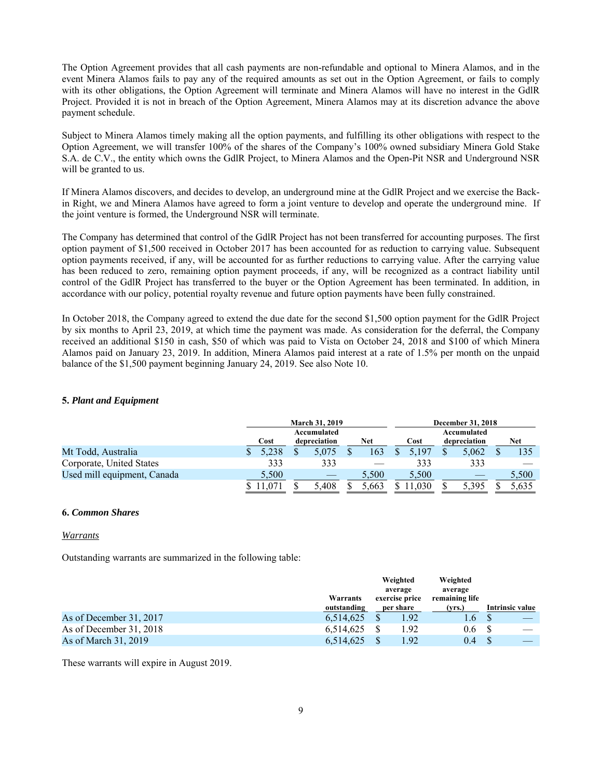The Option Agreement provides that all cash payments are non-refundable and optional to Minera Alamos, and in the event Minera Alamos fails to pay any of the required amounts as set out in the Option Agreement, or fails to comply with its other obligations, the Option Agreement will terminate and Minera Alamos will have no interest in the GdlR Project. Provided it is not in breach of the Option Agreement, Minera Alamos may at its discretion advance the above payment schedule.

Subject to Minera Alamos timely making all the option payments, and fulfilling its other obligations with respect to the Option Agreement, we will transfer 100% of the shares of the Company's 100% owned subsidiary Minera Gold Stake S.A. de C.V., the entity which owns the GdlR Project, to Minera Alamos and the Open-Pit NSR and Underground NSR will be granted to us.

If Minera Alamos discovers, and decides to develop, an underground mine at the GdlR Project and we exercise the Backin Right, we and Minera Alamos have agreed to form a joint venture to develop and operate the underground mine. If the joint venture is formed, the Underground NSR will terminate.

The Company has determined that control of the GdlR Project has not been transferred for accounting purposes. The first option payment of \$1,500 received in October 2017 has been accounted for as reduction to carrying value. Subsequent option payments received, if any, will be accounted for as further reductions to carrying value. After the carrying value has been reduced to zero, remaining option payment proceeds, if any, will be recognized as a contract liability until control of the GdlR Project has transferred to the buyer or the Option Agreement has been terminated. In addition, in accordance with our policy, potential royalty revenue and future option payments have been fully constrained.

In October 2018, the Company agreed to extend the due date for the second \$1,500 option payment for the GdlR Project by six months to April 23, 2019, at which time the payment was made. As consideration for the deferral, the Company received an additional \$150 in cash, \$50 of which was paid to Vista on October 24, 2018 and \$100 of which Minera Alamos paid on January 23, 2019. In addition, Minera Alamos paid interest at a rate of 1.5% per month on the unpaid balance of the \$1,500 payment beginning January 24, 2019. See also Note 10.

### **5.** *Plant and Equipment*

|                             |       |     | <b>March 31, 2019</b> |       |       | <b>December 31, 2018</b> |       |
|-----------------------------|-------|-----|-----------------------|-------|-------|--------------------------|-------|
|                             |       |     | Accumulated           |       |       | Accumulated              |       |
|                             | Cost  |     | depreciation          | Net   | Cost  | depreciation             | Net   |
| Mt Todd, Australia          | 5.238 |     | 5.075                 | 163   | 5.197 | 5.062                    | 135   |
| Corporate, United States    |       | 333 | 333                   |       | 333   | 333                      |       |
| Used mill equipment, Canada | 5.500 |     |                       | 5.500 | 5.500 |                          | 5,500 |
|                             |       |     | 5.408                 | .663  | 1.030 | 5.395                    | 5,635 |

### **6.** *Common Shares*

#### *Warrants*

Outstanding warrants are summarized in the following table:

|                         |             | Weighted                  | Weighted                  |                 |
|-------------------------|-------------|---------------------------|---------------------------|-----------------|
|                         | Warrants    | average<br>exercise price | average<br>remaining life |                 |
|                         | outstanding | per share                 | (vrs.)                    | Intrinsic value |
| As of December 31, 2017 | 6.514.625   | 1.92                      | 1.6                       |                 |
| As of December 31, 2018 | 6,514,625   | 1.92                      | 0.6                       |                 |
| As of March 31, 2019    | 6,514,625   | 1.92                      | 0.4                       |                 |

These warrants will expire in August 2019.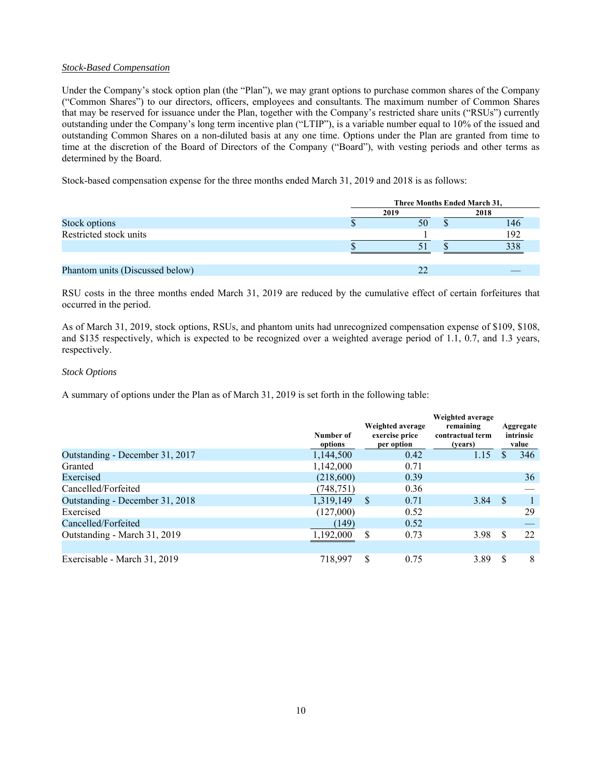### *Stock-Based Compensation*

Under the Company's stock option plan (the "Plan"), we may grant options to purchase common shares of the Company ("Common Shares") to our directors, officers, employees and consultants. The maximum number of Common Shares that may be reserved for issuance under the Plan, together with the Company's restricted share units ("RSUs") currently outstanding under the Company's long term incentive plan ("LTIP"), is a variable number equal to 10% of the issued and outstanding Common Shares on a non-diluted basis at any one time. Options under the Plan are granted from time to time at the discretion of the Board of Directors of the Company ("Board"), with vesting periods and other terms as determined by the Board.

Stock-based compensation expense for the three months ended March 31, 2019 and 2018 is as follows:

|                                 | Three Months Ended March 31, |      |     |  |  |  |  |
|---------------------------------|------------------------------|------|-----|--|--|--|--|
|                                 | 2019                         | 2018 |     |  |  |  |  |
| Stock options                   | 50                           |      | 146 |  |  |  |  |
| Restricted stock units          |                              |      | 192 |  |  |  |  |
|                                 |                              |      | 338 |  |  |  |  |
|                                 |                              |      |     |  |  |  |  |
| Phantom units (Discussed below) | 22                           |      |     |  |  |  |  |

RSU costs in the three months ended March 31, 2019 are reduced by the cumulative effect of certain forfeitures that occurred in the period.

As of March 31, 2019, stock options, RSUs, and phantom units had unrecognized compensation expense of \$109, \$108, and \$135 respectively, which is expected to be recognized over a weighted average period of 1.1, 0.7, and 1.3 years, respectively.

### *Stock Options*

A summary of options under the Plan as of March 31, 2019 is set forth in the following table:

|                                 | Number of<br>options | Weighted average<br>exercise price<br>per option | Weighted average<br>remaining<br>contractual term<br>(vears) |      | Aggregate<br>intrinsic<br>value |
|---------------------------------|----------------------|--------------------------------------------------|--------------------------------------------------------------|------|---------------------------------|
| Outstanding - December 31, 2017 | 1,144,500            | 0.42                                             | 1.15                                                         |      | 346                             |
| Granted                         | 1,142,000            | 0.71                                             |                                                              |      |                                 |
| Exercised                       | (218,600)            | 0.39                                             |                                                              |      | 36                              |
| Cancelled/Forfeited             | (748, 751)           | 0.36                                             |                                                              |      |                                 |
| Outstanding - December 31, 2018 | 1,319,149            | S<br>0.71                                        | 3.84                                                         | - \$ |                                 |
| Exercised                       | (127,000)            | 0.52                                             |                                                              |      | 29                              |
| Cancelled/Forfeited             | (149)                | 0.52                                             |                                                              |      |                                 |
| Outstanding - March 31, 2019    | 1,192,000            | S<br>0.73                                        | 3.98                                                         | S    | 22                              |
| Exercisable - March 31, 2019    | 718.997              | \$.<br>0.75                                      | 3.89                                                         | S    | 8                               |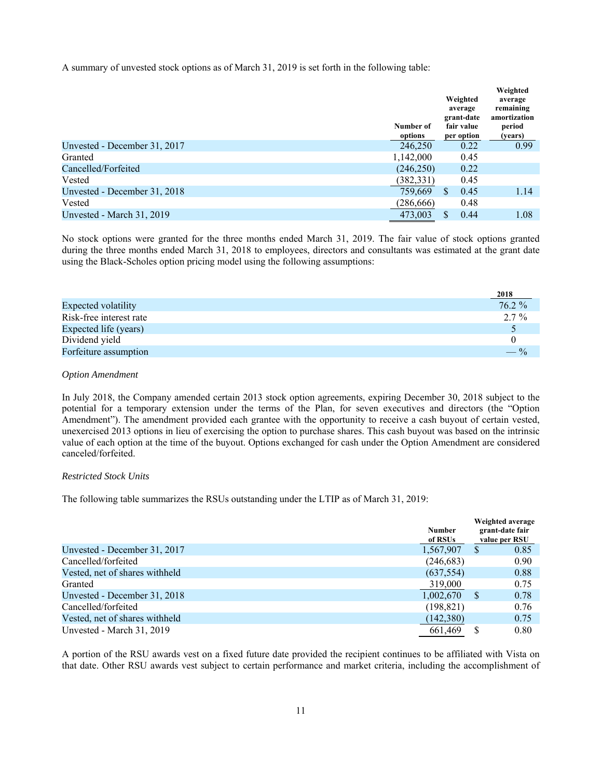A summary of unvested stock options as of March 31, 2019 is set forth in the following table:

|                              | Number of<br>options | Weighted<br>average<br>grant-date<br>fair value<br>per option | Weighted<br>average<br>remaining<br>amortization<br>period<br>(years) |
|------------------------------|----------------------|---------------------------------------------------------------|-----------------------------------------------------------------------|
| Unvested - December 31, 2017 | 246,250              | 0.22                                                          | 0.99                                                                  |
| Granted                      | 1,142,000            | 0.45                                                          |                                                                       |
| Cancelled/Forfeited          | (246, 250)           | 0.22                                                          |                                                                       |
| Vested                       | (382, 331)           | 0.45                                                          |                                                                       |
| Unvested - December 31, 2018 | 759,669              | \$.<br>0.45                                                   | 1.14                                                                  |
| Vested                       | (286, 666)           | 0.48                                                          |                                                                       |
| Unvested - March 31, 2019    | 473,003              | 0.44<br>S                                                     | 1.08                                                                  |

No stock options were granted for the three months ended March 31, 2019. The fair value of stock options granted during the three months ended March 31, 2018 to employees, directors and consultants was estimated at the grant date using the Black-Scholes option pricing model using the following assumptions:

|                            | <b><i>L</i>UIO</b> |
|----------------------------|--------------------|
| <b>Expected volatility</b> | $76.2 \%$          |
| Risk-free interest rate    | 27%                |
| Expected life (years)      |                    |
| Dividend yield             |                    |
| Forfeiture assumption      | $- \frac{0}{0}$    |

**2018** 

#### *Option Amendment*

In July 2018, the Company amended certain 2013 stock option agreements, expiring December 30, 2018 subject to the potential for a temporary extension under the terms of the Plan, for seven executives and directors (the "Option Amendment"). The amendment provided each grantee with the opportunity to receive a cash buyout of certain vested, unexercised 2013 options in lieu of exercising the option to purchase shares. This cash buyout was based on the intrinsic value of each option at the time of the buyout. Options exchanged for cash under the Option Amendment are considered canceled/forfeited.

#### *Restricted Stock Units*

The following table summarizes the RSUs outstanding under the LTIP as of March 31, 2019:

|                                | <b>Number</b><br>of RSUs |    | Weighted average<br>grant-date fair<br>value per RSU |
|--------------------------------|--------------------------|----|------------------------------------------------------|
| Unvested - December 31, 2017   | 1,567,907                | S  | 0.85                                                 |
| Cancelled/forfeited            | (246, 683)               |    | 0.90                                                 |
| Vested, net of shares withheld | (637, 554)               |    | 0.88                                                 |
| Granted                        | 319,000                  |    | 0.75                                                 |
| Unvested - December 31, 2018   | 1,002,670                | S. | 0.78                                                 |
| Cancelled/forfeited            | (198, 821)               |    | 0.76                                                 |
| Vested, net of shares withheld | (142, 380)               |    | 0.75                                                 |
| Unvested - March 31, 2019      | 661,469                  |    | 0.80                                                 |

A portion of the RSU awards vest on a fixed future date provided the recipient continues to be affiliated with Vista on that date. Other RSU awards vest subject to certain performance and market criteria, including the accomplishment of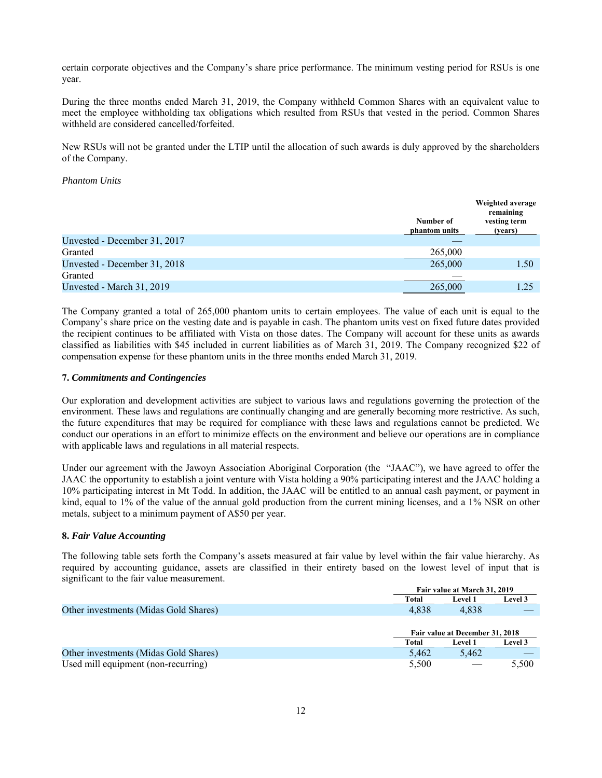certain corporate objectives and the Company's share price performance. The minimum vesting period for RSUs is one year.

During the three months ended March 31, 2019, the Company withheld Common Shares with an equivalent value to meet the employee withholding tax obligations which resulted from RSUs that vested in the period. Common Shares withheld are considered cancelled/forfeited.

New RSUs will not be granted under the LTIP until the allocation of such awards is duly approved by the shareholders of the Company.

### *Phantom Units*

|                              | Number of<br>phantom units | Weighted average<br>remaining<br>vesting term<br>(years) |
|------------------------------|----------------------------|----------------------------------------------------------|
| Unvested - December 31, 2017 |                            |                                                          |
| Granted                      | 265,000                    |                                                          |
| Unvested - December 31, 2018 | 265,000                    | 1.50                                                     |
| Granted                      |                            |                                                          |
| Unvested - March 31, 2019    | 265,000                    | 1.25                                                     |

The Company granted a total of 265,000 phantom units to certain employees. The value of each unit is equal to the Company's share price on the vesting date and is payable in cash. The phantom units vest on fixed future dates provided the recipient continues to be affiliated with Vista on those dates. The Company will account for these units as awards classified as liabilities with \$45 included in current liabilities as of March 31, 2019. The Company recognized \$22 of compensation expense for these phantom units in the three months ended March 31, 2019.

#### **7.** *Commitments and Contingencies*

Our exploration and development activities are subject to various laws and regulations governing the protection of the environment. These laws and regulations are continually changing and are generally becoming more restrictive. As such, the future expenditures that may be required for compliance with these laws and regulations cannot be predicted. We conduct our operations in an effort to minimize effects on the environment and believe our operations are in compliance with applicable laws and regulations in all material respects.

Under our agreement with the Jawoyn Association Aboriginal Corporation (the "JAAC"), we have agreed to offer the JAAC the opportunity to establish a joint venture with Vista holding a 90% participating interest and the JAAC holding a 10% participating interest in Mt Todd. In addition, the JAAC will be entitled to an annual cash payment, or payment in kind, equal to 1% of the value of the annual gold production from the current mining licenses, and a 1% NSR on other metals, subject to a minimum payment of A\$50 per year.

### **8.** *Fair Value Accounting*

The following table sets forth the Company's assets measured at fair value by level within the fair value hierarchy. As required by accounting guidance, assets are classified in their entirety based on the lowest level of input that is significant to the fair value measurement.

|                                       |       | Fair value at March 31, 2019    |         |  |
|---------------------------------------|-------|---------------------------------|---------|--|
|                                       | Total | <b>Level 1</b>                  | Level 3 |  |
| Other investments (Midas Gold Shares) | 4.838 | 4.838                           |         |  |
|                                       |       |                                 |         |  |
|                                       |       |                                 |         |  |
|                                       |       | Fair value at December 31, 2018 |         |  |
|                                       | Total | <b>Level 1</b>                  | Level 3 |  |
| Other investments (Midas Gold Shares) | 5.462 | 5.462                           |         |  |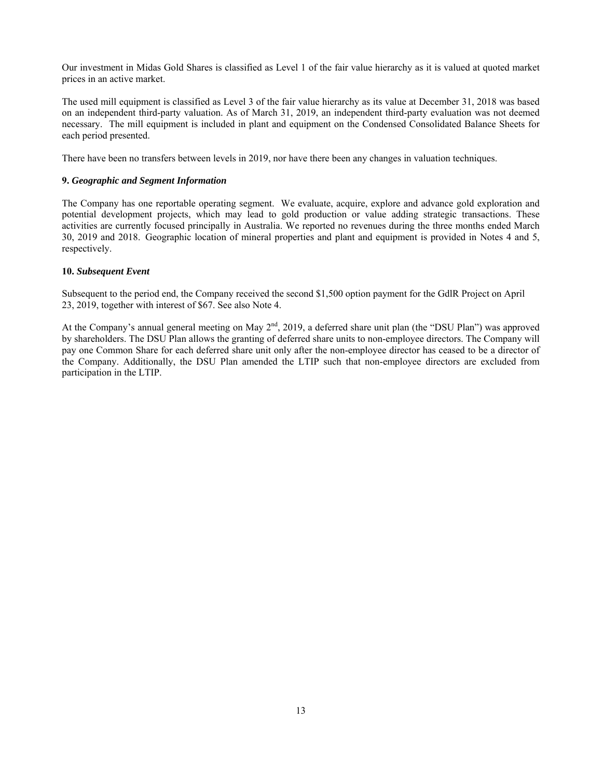Our investment in Midas Gold Shares is classified as Level 1 of the fair value hierarchy as it is valued at quoted market prices in an active market.

The used mill equipment is classified as Level 3 of the fair value hierarchy as its value at December 31, 2018 was based on an independent third-party valuation. As of March 31, 2019, an independent third-party evaluation was not deemed necessary. The mill equipment is included in plant and equipment on the Condensed Consolidated Balance Sheets for each period presented.

There have been no transfers between levels in 2019, nor have there been any changes in valuation techniques.

### **9.** *Geographic and Segment Information*

The Company has one reportable operating segment. We evaluate, acquire, explore and advance gold exploration and potential development projects, which may lead to gold production or value adding strategic transactions. These activities are currently focused principally in Australia. We reported no revenues during the three months ended March 30, 2019 and 2018. Geographic location of mineral properties and plant and equipment is provided in Notes 4 and 5, respectively.

### **10.** *Subsequent Event*

Subsequent to the period end, the Company received the second \$1,500 option payment for the GdlR Project on April 23, 2019, together with interest of \$67. See also Note 4.

At the Company's annual general meeting on May  $2<sup>nd</sup>$ , 2019, a deferred share unit plan (the "DSU Plan") was approved by shareholders. The DSU Plan allows the granting of deferred share units to non-employee directors. The Company will pay one Common Share for each deferred share unit only after the non-employee director has ceased to be a director of the Company. Additionally, the DSU Plan amended the LTIP such that non-employee directors are excluded from participation in the LTIP.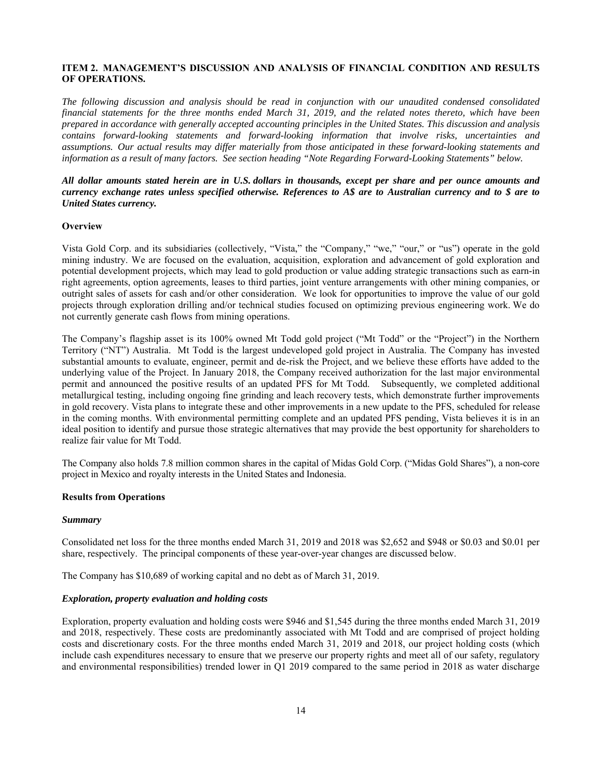### **ITEM 2. MANAGEMENT'S DISCUSSION AND ANALYSIS OF FINANCIAL CONDITION AND RESULTS OF OPERATIONS.**

*The following discussion and analysis should be read in conjunction with our unaudited condensed consolidated financial statements for the three months ended March 31, 2019, and the related notes thereto, which have been prepared in accordance with generally accepted accounting principles in the United States. This discussion and analysis contains forward-looking statements and forward-looking information that involve risks, uncertainties and assumptions. Our actual results may differ materially from those anticipated in these forward-looking statements and information as a result of many factors. See section heading "Note Regarding Forward-Looking Statements" below.*

### *All dollar amounts stated herein are in U.S. dollars in thousands, except per share and per ounce amounts and currency exchange rates unless specified otherwise. References to A\$ are to Australian currency and to \$ are to United States currency.*

### **Overview**

Vista Gold Corp. and its subsidiaries (collectively, "Vista," the "Company," "we," "our," or "us") operate in the gold mining industry. We are focused on the evaluation, acquisition, exploration and advancement of gold exploration and potential development projects, which may lead to gold production or value adding strategic transactions such as earn-in right agreements, option agreements, leases to third parties, joint venture arrangements with other mining companies, or outright sales of assets for cash and/or other consideration. We look for opportunities to improve the value of our gold projects through exploration drilling and/or technical studies focused on optimizing previous engineering work. We do not currently generate cash flows from mining operations.

The Company's flagship asset is its 100% owned Mt Todd gold project ("Mt Todd" or the "Project") in the Northern Territory ("NT") Australia. Mt Todd is the largest undeveloped gold project in Australia. The Company has invested substantial amounts to evaluate, engineer, permit and de-risk the Project, and we believe these efforts have added to the underlying value of the Project. In January 2018, the Company received authorization for the last major environmental permit and announced the positive results of an updated PFS for Mt Todd. Subsequently, we completed additional metallurgical testing, including ongoing fine grinding and leach recovery tests, which demonstrate further improvements in gold recovery. Vista plans to integrate these and other improvements in a new update to the PFS, scheduled for release in the coming months. With environmental permitting complete and an updated PFS pending, Vista believes it is in an ideal position to identify and pursue those strategic alternatives that may provide the best opportunity for shareholders to realize fair value for Mt Todd.

The Company also holds 7.8 million common shares in the capital of Midas Gold Corp. ("Midas Gold Shares"), a non-core project in Mexico and royalty interests in the United States and Indonesia.

#### **Results from Operations**

#### *Summary*

Consolidated net loss for the three months ended March 31, 2019 and 2018 was \$2,652 and \$948 or \$0.03 and \$0.01 per share, respectively. The principal components of these year-over-year changes are discussed below.

The Company has \$10,689 of working capital and no debt as of March 31, 2019.

#### *Exploration, property evaluation and holding costs*

Exploration, property evaluation and holding costs were \$946 and \$1,545 during the three months ended March 31, 2019 and 2018, respectively. These costs are predominantly associated with Mt Todd and are comprised of project holding costs and discretionary costs. For the three months ended March 31, 2019 and 2018, our project holding costs (which include cash expenditures necessary to ensure that we preserve our property rights and meet all of our safety, regulatory and environmental responsibilities) trended lower in Q1 2019 compared to the same period in 2018 as water discharge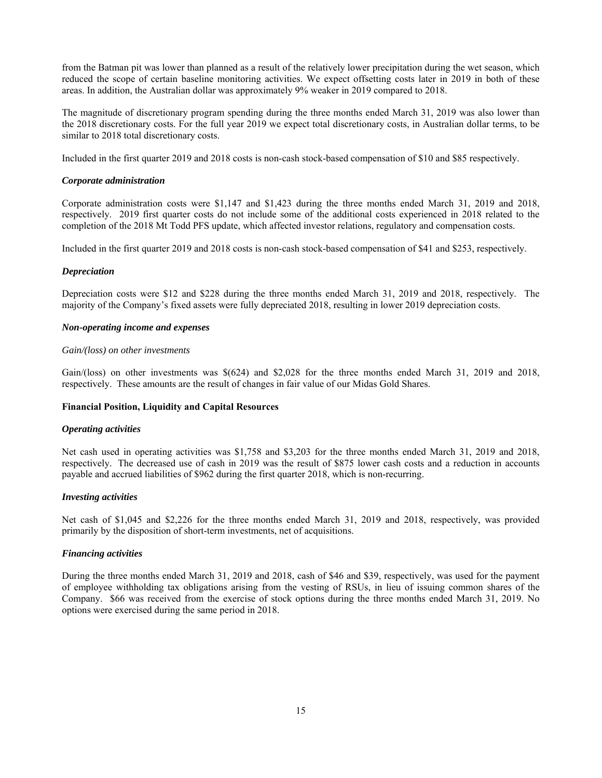from the Batman pit was lower than planned as a result of the relatively lower precipitation during the wet season, which reduced the scope of certain baseline monitoring activities. We expect offsetting costs later in 2019 in both of these areas. In addition, the Australian dollar was approximately 9% weaker in 2019 compared to 2018.

The magnitude of discretionary program spending during the three months ended March 31, 2019 was also lower than the 2018 discretionary costs. For the full year 2019 we expect total discretionary costs, in Australian dollar terms, to be similar to 2018 total discretionary costs.

Included in the first quarter 2019 and 2018 costs is non-cash stock-based compensation of \$10 and \$85 respectively.

### *Corporate administration*

Corporate administration costs were \$1,147 and \$1,423 during the three months ended March 31, 2019 and 2018, respectively. 2019 first quarter costs do not include some of the additional costs experienced in 2018 related to the completion of the 2018 Mt Todd PFS update, which affected investor relations, regulatory and compensation costs.

Included in the first quarter 2019 and 2018 costs is non-cash stock-based compensation of \$41 and \$253, respectively.

#### *Depreciation*

Depreciation costs were \$12 and \$228 during the three months ended March 31, 2019 and 2018, respectively. The majority of the Company's fixed assets were fully depreciated 2018, resulting in lower 2019 depreciation costs.

#### *Non-operating income and expenses*

#### *Gain/(loss) on other investments*

Gain/(loss) on other investments was  $\frac{6624}{1}$  and  $\frac{2028}{2}$  for the three months ended March 31, 2019 and 2018, respectively. These amounts are the result of changes in fair value of our Midas Gold Shares.

### **Financial Position, Liquidity and Capital Resources**

#### *Operating activities*

Net cash used in operating activities was \$1,758 and \$3,203 for the three months ended March 31, 2019 and 2018, respectively. The decreased use of cash in 2019 was the result of \$875 lower cash costs and a reduction in accounts payable and accrued liabilities of \$962 during the first quarter 2018, which is non-recurring.

### *Investing activities*

Net cash of \$1,045 and \$2,226 for the three months ended March 31, 2019 and 2018, respectively, was provided primarily by the disposition of short-term investments, net of acquisitions.

### *Financing activities*

During the three months ended March 31, 2019 and 2018, cash of \$46 and \$39, respectively, was used for the payment of employee withholding tax obligations arising from the vesting of RSUs, in lieu of issuing common shares of the Company. \$66 was received from the exercise of stock options during the three months ended March 31, 2019. No options were exercised during the same period in 2018.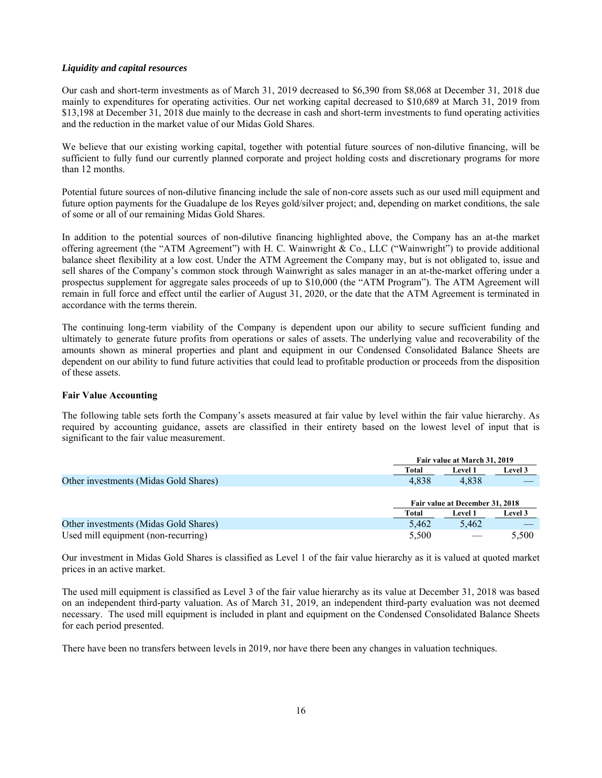### *Liquidity and capital resources*

Our cash and short-term investments as of March 31, 2019 decreased to \$6,390 from \$8,068 at December 31, 2018 due mainly to expenditures for operating activities. Our net working capital decreased to \$10,689 at March 31, 2019 from \$13,198 at December 31, 2018 due mainly to the decrease in cash and short-term investments to fund operating activities and the reduction in the market value of our Midas Gold Shares.

We believe that our existing working capital, together with potential future sources of non-dilutive financing, will be sufficient to fully fund our currently planned corporate and project holding costs and discretionary programs for more than 12 months.

Potential future sources of non-dilutive financing include the sale of non-core assets such as our used mill equipment and future option payments for the Guadalupe de los Reyes gold/silver project; and, depending on market conditions, the sale of some or all of our remaining Midas Gold Shares.

In addition to the potential sources of non-dilutive financing highlighted above, the Company has an at-the market offering agreement (the "ATM Agreement") with H. C. Wainwright & Co., LLC ("Wainwright") to provide additional balance sheet flexibility at a low cost. Under the ATM Agreement the Company may, but is not obligated to, issue and sell shares of the Company's common stock through Wainwright as sales manager in an at-the-market offering under a prospectus supplement for aggregate sales proceeds of up to \$10,000 (the "ATM Program"). The ATM Agreement will remain in full force and effect until the earlier of August 31, 2020, or the date that the ATM Agreement is terminated in accordance with the terms therein.

The continuing long-term viability of the Company is dependent upon our ability to secure sufficient funding and ultimately to generate future profits from operations or sales of assets. The underlying value and recoverability of the amounts shown as mineral properties and plant and equipment in our Condensed Consolidated Balance Sheets are dependent on our ability to fund future activities that could lead to profitable production or proceeds from the disposition of these assets.

### **Fair Value Accounting**

The following table sets forth the Company's assets measured at fair value by level within the fair value hierarchy. As required by accounting guidance, assets are classified in their entirety based on the lowest level of input that is significant to the fair value measurement.

|                                       | Fair value at March 31, 2019 |                                 |         |
|---------------------------------------|------------------------------|---------------------------------|---------|
|                                       | Total                        | <b>Level 1</b>                  | Level 3 |
| Other investments (Midas Gold Shares) | 4.838                        | 4.838                           |         |
|                                       |                              |                                 |         |
|                                       |                              | Fair value at December 31, 2018 |         |
|                                       | Total                        | <b>Level 1</b>                  | Level 3 |
| Other investments (Midas Gold Shares) | 5,462                        | 5,462                           |         |
| Used mill equipment (non-recurring)   | 5,500                        |                                 | 5,500   |

Our investment in Midas Gold Shares is classified as Level 1 of the fair value hierarchy as it is valued at quoted market prices in an active market.

The used mill equipment is classified as Level 3 of the fair value hierarchy as its value at December 31, 2018 was based on an independent third-party valuation. As of March 31, 2019, an independent third-party evaluation was not deemed necessary. The used mill equipment is included in plant and equipment on the Condensed Consolidated Balance Sheets for each period presented.

There have been no transfers between levels in 2019, nor have there been any changes in valuation techniques.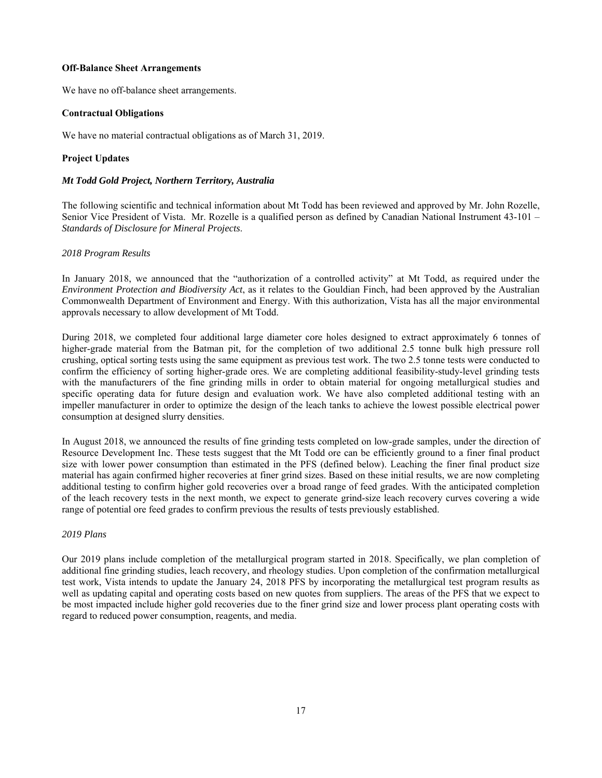### **Off-Balance Sheet Arrangements**

We have no off-balance sheet arrangements.

### **Contractual Obligations**

We have no material contractual obligations as of March 31, 2019.

### **Project Updates**

### *Mt Todd Gold Project, Northern Territory, Australia*

The following scientific and technical information about Mt Todd has been reviewed and approved by Mr. John Rozelle, Senior Vice President of Vista. Mr. Rozelle is a qualified person as defined by Canadian National Instrument 43-101 – *Standards of Disclosure for Mineral Projects*.

### *2018 Program Results*

In January 2018, we announced that the "authorization of a controlled activity" at Mt Todd, as required under the *Environment Protection and Biodiversity Act*, as it relates to the Gouldian Finch, had been approved by the Australian Commonwealth Department of Environment and Energy. With this authorization, Vista has all the major environmental approvals necessary to allow development of Mt Todd.

During 2018, we completed four additional large diameter core holes designed to extract approximately 6 tonnes of higher-grade material from the Batman pit, for the completion of two additional 2.5 tonne bulk high pressure roll crushing, optical sorting tests using the same equipment as previous test work. The two 2.5 tonne tests were conducted to confirm the efficiency of sorting higher-grade ores. We are completing additional feasibility-study-level grinding tests with the manufacturers of the fine grinding mills in order to obtain material for ongoing metallurgical studies and specific operating data for future design and evaluation work. We have also completed additional testing with an impeller manufacturer in order to optimize the design of the leach tanks to achieve the lowest possible electrical power consumption at designed slurry densities.

In August 2018, we announced the results of fine grinding tests completed on low-grade samples, under the direction of Resource Development Inc. These tests suggest that the Mt Todd ore can be efficiently ground to a finer final product size with lower power consumption than estimated in the PFS (defined below). Leaching the finer final product size material has again confirmed higher recoveries at finer grind sizes. Based on these initial results, we are now completing additional testing to confirm higher gold recoveries over a broad range of feed grades. With the anticipated completion of the leach recovery tests in the next month, we expect to generate grind-size leach recovery curves covering a wide range of potential ore feed grades to confirm previous the results of tests previously established.

### *2019 Plans*

Our 2019 plans include completion of the metallurgical program started in 2018. Specifically, we plan completion of additional fine grinding studies, leach recovery, and rheology studies. Upon completion of the confirmation metallurgical test work, Vista intends to update the January 24, 2018 PFS by incorporating the metallurgical test program results as well as updating capital and operating costs based on new quotes from suppliers. The areas of the PFS that we expect to be most impacted include higher gold recoveries due to the finer grind size and lower process plant operating costs with regard to reduced power consumption, reagents, and media.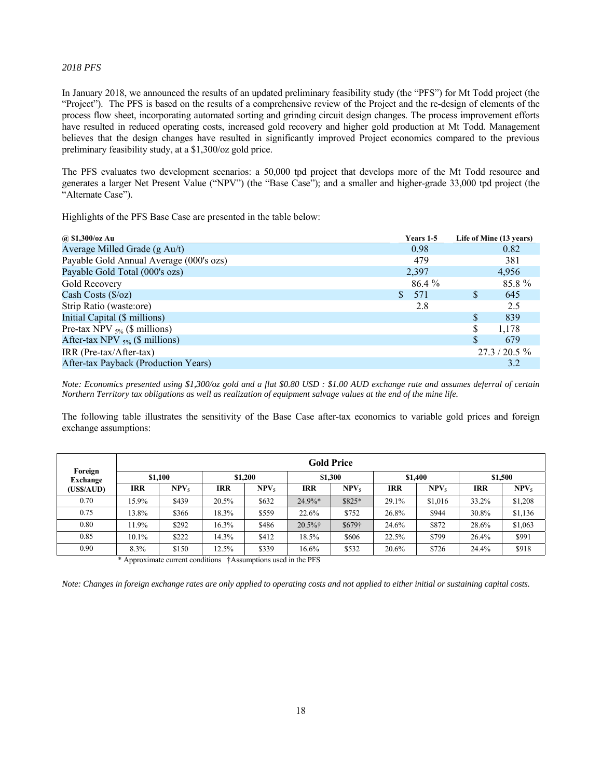### *2018 PFS*

In January 2018, we announced the results of an updated preliminary feasibility study (the "PFS") for Mt Todd project (the "Project"). The PFS is based on the results of a comprehensive review of the Project and the re-design of elements of the process flow sheet, incorporating automated sorting and grinding circuit design changes. The process improvement efforts have resulted in reduced operating costs, increased gold recovery and higher gold production at Mt Todd. Management believes that the design changes have resulted in significantly improved Project economics compared to the previous preliminary feasibility study, at a \$1,300/oz gold price.

The PFS evaluates two development scenarios: a 50,000 tpd project that develops more of the Mt Todd resource and generates a larger Net Present Value ("NPV") (the "Base Case"); and a smaller and higher-grade 33,000 tpd project (the "Alternate Case").

Highlights of the PFS Base Case are presented in the table below:

| @ \$1,300/oz Au                         | Years 1-5           |          | Life of Mine (13 years) |
|-----------------------------------------|---------------------|----------|-------------------------|
| Average Milled Grade (g Au/t)           | 0.98                |          | 0.82                    |
| Payable Gold Annual Average (000's ozs) | 479                 |          | 381                     |
| Payable Gold Total (000's ozs)          | 2,397               |          | 4,956                   |
| Gold Recovery                           | 86.4 %              |          | 85.8%                   |
| Cash Costs $(\frac{6}{2})$              | 571<br>$\mathbf{S}$ | \$.      | 645                     |
| Strip Ratio (waste:ore)                 | 2.8                 |          | 2.5                     |
| Initial Capital (\$ millions)           |                     | S        | 839                     |
| Pre-tax NPV $_{5\%}$ (\$ millions)      |                     | S.       | 1,178                   |
| After-tax NPV $_{5\%}$ (\$ millions)    |                     | <b>S</b> | 679                     |
| IRR (Pre-tax/After-tax)                 |                     |          | $27.3 / 20.5 \%$        |
| After-tax Payback (Production Years)    |                     |          | 3.2                     |

*Note: Economics presented using \$1,300/oz gold and a flat \$0.80 USD : \$1.00 AUD exchange rate and assumes deferral of certain Northern Territory tax obligations as well as realization of equipment salvage values at the end of the mine life.* 

The following table illustrates the sensitivity of the Base Case after-tax economics to variable gold prices and foreign exchange assumptions:

|                     |          |                  |            |                  |            | <b>Gold Price</b> |            |                  |            |                  |
|---------------------|----------|------------------|------------|------------------|------------|-------------------|------------|------------------|------------|------------------|
| Foreign<br>Exchange | \$1.100  |                  |            | \$1,200          |            | \$1.300           |            | \$1,400          |            | \$1,500          |
| (US\$/AUD)          | IRR      | NPV <sub>5</sub> | <b>IRR</b> | NPV <sub>5</sub> | IRR        | NPV.              | <b>IRR</b> | NPV <sub>5</sub> | <b>IRR</b> | NPV <sub>5</sub> |
| 0.70                | 15.9%    | \$439            | 20.5%      | \$632            | $24.9\%*$  | \$825*            | 29.1%      | \$1,016          | 33.2%      | \$1,208          |
| 0.75                | 13.8%    | \$366            | 18.3%      | \$559            | 22.6%      | \$752             | 26.8%      | \$944            | 30.8%      | \$1,136          |
| 0.80                | 11.9%    | \$292            | 16.3%      | \$486            | $20.5\%$ † | \$679†            | 24.6%      | \$872            | 28.6%      | \$1,063          |
| 0.85                | $10.1\%$ | \$222            | 14.3%      | \$412            | 18.5%      | \$606             | 22.5%      | \$799            | 26.4%      | \$991            |
| 0.90                | 8.3%     | \$150            | 12.5%      | \$339            | 16.6%      | \$532             | 20.6%      | \$726            | 24.4%      | \$918            |

\* Approximate current conditions †Assumptions used in the PFS

*Note: Changes in foreign exchange rates are only applied to operating costs and not applied to either initial or sustaining capital costs.*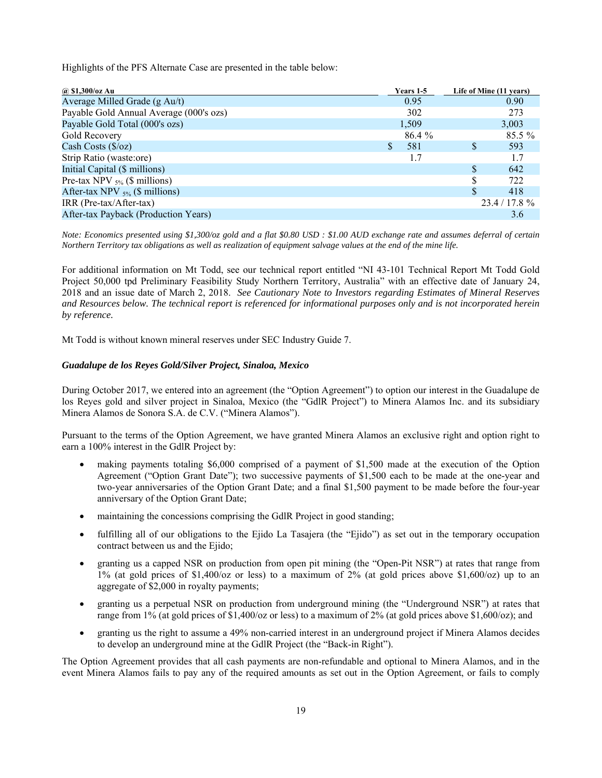Highlights of the PFS Alternate Case are presented in the table below:

| @ \$1,300/oz Au                         |    | Years 1-5 |     | Life of Mine (11 years) |
|-----------------------------------------|----|-----------|-----|-------------------------|
| Average Milled Grade (g Au/t)           |    | 0.95      |     | 0.90                    |
| Payable Gold Annual Average (000's ozs) |    | 302       |     | 273                     |
| Payable Gold Total (000's ozs)          |    | 1,509     |     | 3,003                   |
| Gold Recovery                           |    | 86.4 %    |     | $85.5\%$                |
| Cash Costs $(\frac{6}{2})$              | S. | 581       | \$. | 593                     |
| Strip Ratio (waste:ore)                 |    | 1.7       |     | 1.7                     |
| Initial Capital (\$ millions)           |    |           | \$. | 642                     |
| Pre-tax NPV $_{5\%}$ (\$ millions)      |    |           | S   | 722                     |
| After-tax NPV $_{5\%}$ (\$ millions)    |    |           | \$. | 418                     |
| IRR (Pre-tax/After-tax)                 |    |           |     | $23.4/17.8\%$           |
| After-tax Payback (Production Years)    |    |           |     | 3.6                     |

*Note: Economics presented using \$1,300/oz gold and a flat \$0.80 USD : \$1.00 AUD exchange rate and assumes deferral of certain Northern Territory tax obligations as well as realization of equipment salvage values at the end of the mine life.* 

For additional information on Mt Todd, see our technical report entitled "NI 43-101 Technical Report Mt Todd Gold Project 50,000 tpd Preliminary Feasibility Study Northern Territory, Australia" with an effective date of January 24, 2018 and an issue date of March 2, 2018. *See Cautionary Note to Investors regarding Estimates of Mineral Reserves and Resources below. The technical report is referenced for informational purposes only and is not incorporated herein by reference.*

Mt Todd is without known mineral reserves under SEC Industry Guide 7.

#### *Guadalupe de los Reyes Gold/Silver Project, Sinaloa, Mexico*

During October 2017, we entered into an agreement (the "Option Agreement") to option our interest in the Guadalupe de los Reyes gold and silver project in Sinaloa, Mexico (the "GdlR Project") to Minera Alamos Inc. and its subsidiary Minera Alamos de Sonora S.A. de C.V. ("Minera Alamos").

Pursuant to the terms of the Option Agreement, we have granted Minera Alamos an exclusive right and option right to earn a 100% interest in the GdlR Project by:

- making payments totaling \$6,000 comprised of a payment of \$1,500 made at the execution of the Option Agreement ("Option Grant Date"); two successive payments of \$1,500 each to be made at the one-year and two-year anniversaries of the Option Grant Date; and a final \$1,500 payment to be made before the four-year anniversary of the Option Grant Date;
- maintaining the concessions comprising the GdlR Project in good standing;
- fulfilling all of our obligations to the Ejido La Tasajera (the "Ejido") as set out in the temporary occupation contract between us and the Ejido;
- granting us a capped NSR on production from open pit mining (the "Open-Pit NSR") at rates that range from 1% (at gold prices of \$1,400/oz or less) to a maximum of 2% (at gold prices above \$1,600/oz) up to an aggregate of \$2,000 in royalty payments;
- granting us a perpetual NSR on production from underground mining (the "Underground NSR") at rates that range from 1% (at gold prices of \$1,400/oz or less) to a maximum of 2% (at gold prices above \$1,600/oz); and
- granting us the right to assume a 49% non-carried interest in an underground project if Minera Alamos decides to develop an underground mine at the GdlR Project (the "Back-in Right").

The Option Agreement provides that all cash payments are non-refundable and optional to Minera Alamos, and in the event Minera Alamos fails to pay any of the required amounts as set out in the Option Agreement, or fails to comply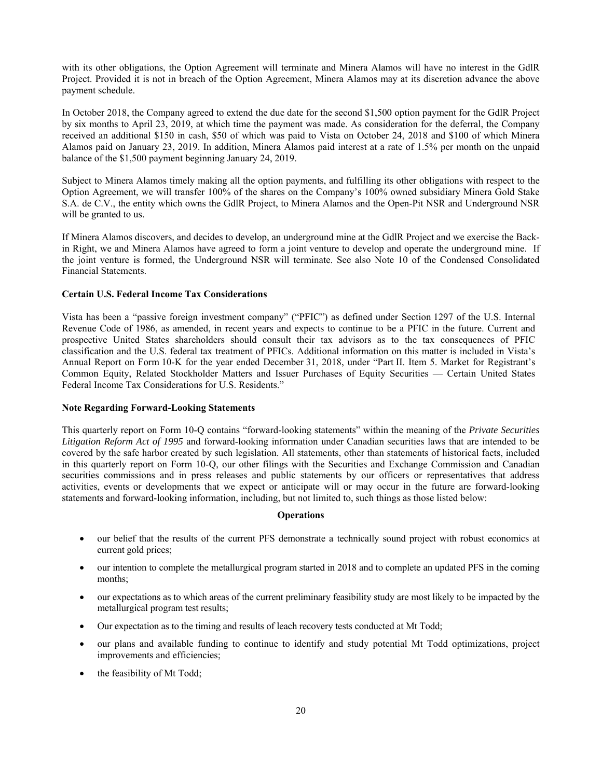with its other obligations, the Option Agreement will terminate and Minera Alamos will have no interest in the GdlR Project. Provided it is not in breach of the Option Agreement, Minera Alamos may at its discretion advance the above payment schedule.

In October 2018, the Company agreed to extend the due date for the second \$1,500 option payment for the GdlR Project by six months to April 23, 2019, at which time the payment was made. As consideration for the deferral, the Company received an additional \$150 in cash, \$50 of which was paid to Vista on October 24, 2018 and \$100 of which Minera Alamos paid on January 23, 2019. In addition, Minera Alamos paid interest at a rate of 1.5% per month on the unpaid balance of the \$1,500 payment beginning January 24, 2019.

Subject to Minera Alamos timely making all the option payments, and fulfilling its other obligations with respect to the Option Agreement, we will transfer 100% of the shares on the Company's 100% owned subsidiary Minera Gold Stake S.A. de C.V., the entity which owns the GdlR Project, to Minera Alamos and the Open-Pit NSR and Underground NSR will be granted to us.

If Minera Alamos discovers, and decides to develop, an underground mine at the GdlR Project and we exercise the Backin Right, we and Minera Alamos have agreed to form a joint venture to develop and operate the underground mine. If the joint venture is formed, the Underground NSR will terminate. See also Note 10 of the Condensed Consolidated Financial Statements.

## **Certain U.S. Federal Income Tax Considerations**

Vista has been a "passive foreign investment company" ("PFIC") as defined under Section 1297 of the U.S. Internal Revenue Code of 1986, as amended, in recent years and expects to continue to be a PFIC in the future. Current and prospective United States shareholders should consult their tax advisors as to the tax consequences of PFIC classification and the U.S. federal tax treatment of PFICs. Additional information on this matter is included in Vista's Annual Report on Form 10-K for the year ended December 31, 2018, under "Part II. Item 5. Market for Registrant's Common Equity, Related Stockholder Matters and Issuer Purchases of Equity Securities — Certain United States Federal Income Tax Considerations for U.S. Residents."

### **Note Regarding Forward-Looking Statements**

This quarterly report on Form 10-Q contains "forward-looking statements" within the meaning of the *Private Securities Litigation Reform Act of 1995* and forward-looking information under Canadian securities laws that are intended to be covered by the safe harbor created by such legislation. All statements, other than statements of historical facts, included in this quarterly report on Form 10-Q, our other filings with the Securities and Exchange Commission and Canadian securities commissions and in press releases and public statements by our officers or representatives that address activities, events or developments that we expect or anticipate will or may occur in the future are forward-looking statements and forward-looking information, including, but not limited to, such things as those listed below:

#### **Operations**

- our belief that the results of the current PFS demonstrate a technically sound project with robust economics at current gold prices;
- our intention to complete the metallurgical program started in 2018 and to complete an updated PFS in the coming months;
- our expectations as to which areas of the current preliminary feasibility study are most likely to be impacted by the metallurgical program test results;
- Our expectation as to the timing and results of leach recovery tests conducted at Mt Todd;
- our plans and available funding to continue to identify and study potential Mt Todd optimizations, project improvements and efficiencies;
- the feasibility of Mt Todd;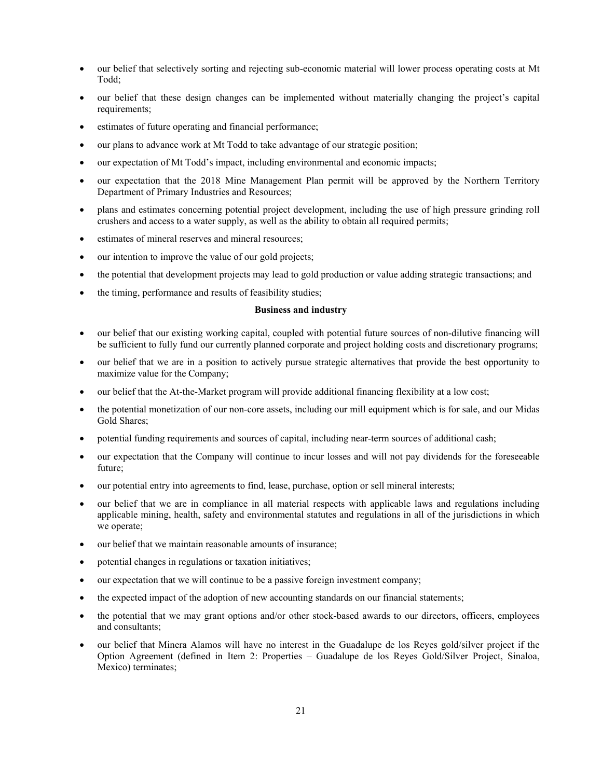- our belief that selectively sorting and rejecting sub-economic material will lower process operating costs at Mt Todd;
- our belief that these design changes can be implemented without materially changing the project's capital requirements;
- estimates of future operating and financial performance;
- our plans to advance work at Mt Todd to take advantage of our strategic position;
- our expectation of Mt Todd's impact, including environmental and economic impacts;
- our expectation that the 2018 Mine Management Plan permit will be approved by the Northern Territory Department of Primary Industries and Resources;
- plans and estimates concerning potential project development, including the use of high pressure grinding roll crushers and access to a water supply, as well as the ability to obtain all required permits;
- estimates of mineral reserves and mineral resources;
- our intention to improve the value of our gold projects;
- the potential that development projects may lead to gold production or value adding strategic transactions; and
- the timing, performance and results of feasibility studies;

### **Business and industry**

- our belief that our existing working capital, coupled with potential future sources of non-dilutive financing will be sufficient to fully fund our currently planned corporate and project holding costs and discretionary programs;
- our belief that we are in a position to actively pursue strategic alternatives that provide the best opportunity to maximize value for the Company;
- our belief that the At-the-Market program will provide additional financing flexibility at a low cost;
- the potential monetization of our non-core assets, including our mill equipment which is for sale, and our Midas Gold Shares;
- potential funding requirements and sources of capital, including near-term sources of additional cash;
- our expectation that the Company will continue to incur losses and will not pay dividends for the foreseeable future;
- our potential entry into agreements to find, lease, purchase, option or sell mineral interests;
- our belief that we are in compliance in all material respects with applicable laws and regulations including applicable mining, health, safety and environmental statutes and regulations in all of the jurisdictions in which we operate;
- our belief that we maintain reasonable amounts of insurance;
- potential changes in regulations or taxation initiatives;
- our expectation that we will continue to be a passive foreign investment company;
- the expected impact of the adoption of new accounting standards on our financial statements;
- the potential that we may grant options and/or other stock-based awards to our directors, officers, employees and consultants;
- our belief that Minera Alamos will have no interest in the Guadalupe de los Reyes gold/silver project if the Option Agreement (defined in Item 2: Properties – Guadalupe de los Reyes Gold/Silver Project, Sinaloa, Mexico) terminates;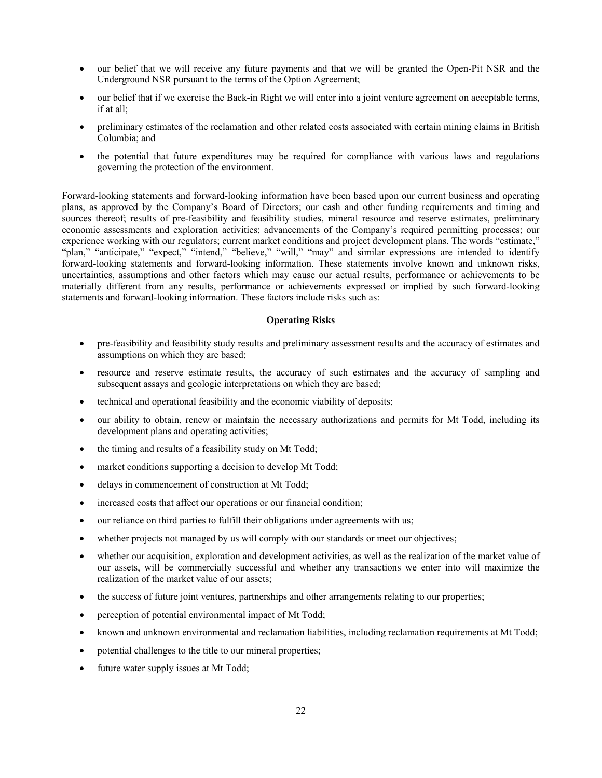- our belief that we will receive any future payments and that we will be granted the Open-Pit NSR and the Underground NSR pursuant to the terms of the Option Agreement;
- our belief that if we exercise the Back-in Right we will enter into a joint venture agreement on acceptable terms, if at all;
- preliminary estimates of the reclamation and other related costs associated with certain mining claims in British Columbia; and
- the potential that future expenditures may be required for compliance with various laws and regulations governing the protection of the environment.

Forward-looking statements and forward-looking information have been based upon our current business and operating plans, as approved by the Company's Board of Directors; our cash and other funding requirements and timing and sources thereof; results of pre-feasibility and feasibility studies, mineral resource and reserve estimates, preliminary economic assessments and exploration activities; advancements of the Company's required permitting processes; our experience working with our regulators; current market conditions and project development plans. The words "estimate," "plan," "anticipate," "expect," "intend," "believe," "will," "may" and similar expressions are intended to identify forward-looking statements and forward-looking information. These statements involve known and unknown risks, uncertainties, assumptions and other factors which may cause our actual results, performance or achievements to be materially different from any results, performance or achievements expressed or implied by such forward-looking statements and forward-looking information. These factors include risks such as:

### **Operating Risks**

- pre-feasibility and feasibility study results and preliminary assessment results and the accuracy of estimates and assumptions on which they are based;
- resource and reserve estimate results, the accuracy of such estimates and the accuracy of sampling and subsequent assays and geologic interpretations on which they are based;
- technical and operational feasibility and the economic viability of deposits;
- our ability to obtain, renew or maintain the necessary authorizations and permits for Mt Todd, including its development plans and operating activities;
- the timing and results of a feasibility study on Mt Todd;
- market conditions supporting a decision to develop Mt Todd;
- delays in commencement of construction at Mt Todd;
- increased costs that affect our operations or our financial condition;
- our reliance on third parties to fulfill their obligations under agreements with us;
- whether projects not managed by us will comply with our standards or meet our objectives;
- whether our acquisition, exploration and development activities, as well as the realization of the market value of our assets, will be commercially successful and whether any transactions we enter into will maximize the realization of the market value of our assets;
- the success of future joint ventures, partnerships and other arrangements relating to our properties;
- perception of potential environmental impact of Mt Todd;
- known and unknown environmental and reclamation liabilities, including reclamation requirements at Mt Todd;
- potential challenges to the title to our mineral properties;
- future water supply issues at Mt Todd;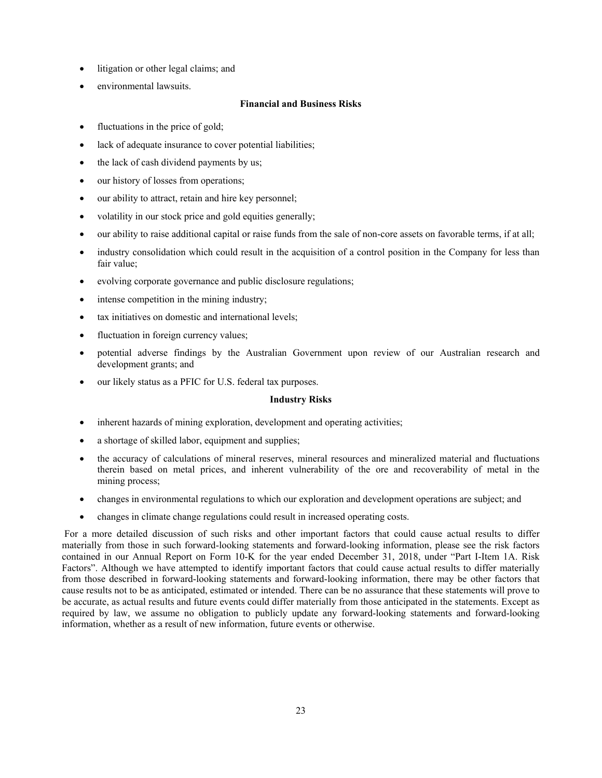- litigation or other legal claims; and
- environmental lawsuits.

### **Financial and Business Risks**

- fluctuations in the price of gold;
- lack of adequate insurance to cover potential liabilities;
- the lack of cash dividend payments by us;
- our history of losses from operations;
- our ability to attract, retain and hire key personnel;
- volatility in our stock price and gold equities generally;
- our ability to raise additional capital or raise funds from the sale of non-core assets on favorable terms, if at all;
- industry consolidation which could result in the acquisition of a control position in the Company for less than fair value;
- evolving corporate governance and public disclosure regulations;
- intense competition in the mining industry;
- tax initiatives on domestic and international levels;
- fluctuation in foreign currency values;
- potential adverse findings by the Australian Government upon review of our Australian research and development grants; and
- our likely status as a PFIC for U.S. federal tax purposes.

### **Industry Risks**

- inherent hazards of mining exploration, development and operating activities;
- a shortage of skilled labor, equipment and supplies;
- the accuracy of calculations of mineral reserves, mineral resources and mineralized material and fluctuations therein based on metal prices, and inherent vulnerability of the ore and recoverability of metal in the mining process;
- changes in environmental regulations to which our exploration and development operations are subject; and
- changes in climate change regulations could result in increased operating costs.

 For a more detailed discussion of such risks and other important factors that could cause actual results to differ materially from those in such forward-looking statements and forward-looking information, please see the risk factors contained in our Annual Report on Form 10-K for the year ended December 31, 2018, under "Part I-Item 1A. Risk Factors". Although we have attempted to identify important factors that could cause actual results to differ materially from those described in forward-looking statements and forward-looking information, there may be other factors that cause results not to be as anticipated, estimated or intended. There can be no assurance that these statements will prove to be accurate, as actual results and future events could differ materially from those anticipated in the statements. Except as required by law, we assume no obligation to publicly update any forward-looking statements and forward-looking information, whether as a result of new information, future events or otherwise.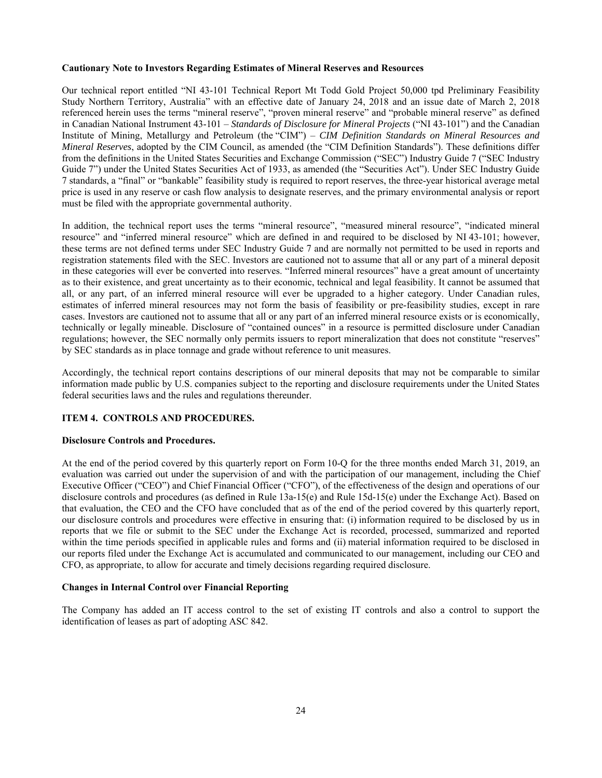### **Cautionary Note to Investors Regarding Estimates of Mineral Reserves and Resources**

Our technical report entitled "NI 43-101 Technical Report Mt Todd Gold Project 50,000 tpd Preliminary Feasibility Study Northern Territory, Australia" with an effective date of January 24, 2018 and an issue date of March 2, 2018 referenced herein uses the terms "mineral reserve", "proven mineral reserve" and "probable mineral reserve" as defined in Canadian National Instrument 43-101 – *Standards of Disclosure for Mineral Projects* ("NI 43-101") and the Canadian Institute of Mining, Metallurgy and Petroleum (the "CIM") – *CIM Definition Standards on Mineral Resources and Mineral Reserves*, adopted by the CIM Council, as amended (the "CIM Definition Standards"). These definitions differ from the definitions in the United States Securities and Exchange Commission ("SEC") Industry Guide 7 ("SEC Industry Guide 7") under the United States Securities Act of 1933, as amended (the "Securities Act"). Under SEC Industry Guide 7 standards, a "final" or "bankable" feasibility study is required to report reserves, the three-year historical average metal price is used in any reserve or cash flow analysis to designate reserves, and the primary environmental analysis or report must be filed with the appropriate governmental authority.

In addition, the technical report uses the terms "mineral resource", "measured mineral resource", "indicated mineral resource" and "inferred mineral resource" which are defined in and required to be disclosed by NI 43-101; however, these terms are not defined terms under SEC Industry Guide 7 and are normally not permitted to be used in reports and registration statements filed with the SEC. Investors are cautioned not to assume that all or any part of a mineral deposit in these categories will ever be converted into reserves. "Inferred mineral resources" have a great amount of uncertainty as to their existence, and great uncertainty as to their economic, technical and legal feasibility. It cannot be assumed that all, or any part, of an inferred mineral resource will ever be upgraded to a higher category. Under Canadian rules, estimates of inferred mineral resources may not form the basis of feasibility or pre-feasibility studies, except in rare cases. Investors are cautioned not to assume that all or any part of an inferred mineral resource exists or is economically, technically or legally mineable. Disclosure of "contained ounces" in a resource is permitted disclosure under Canadian regulations; however, the SEC normally only permits issuers to report mineralization that does not constitute "reserves" by SEC standards as in place tonnage and grade without reference to unit measures.

Accordingly, the technical report contains descriptions of our mineral deposits that may not be comparable to similar information made public by U.S. companies subject to the reporting and disclosure requirements under the United States federal securities laws and the rules and regulations thereunder.

### **ITEM 4. CONTROLS AND PROCEDURES.**

#### **Disclosure Controls and Procedures.**

At the end of the period covered by this quarterly report on Form 10-Q for the three months ended March 31, 2019, an evaluation was carried out under the supervision of and with the participation of our management, including the Chief Executive Officer ("CEO") and Chief Financial Officer ("CFO"), of the effectiveness of the design and operations of our disclosure controls and procedures (as defined in Rule 13a-15(e) and Rule 15d-15(e) under the Exchange Act). Based on that evaluation, the CEO and the CFO have concluded that as of the end of the period covered by this quarterly report, our disclosure controls and procedures were effective in ensuring that: (i) information required to be disclosed by us in reports that we file or submit to the SEC under the Exchange Act is recorded, processed, summarized and reported within the time periods specified in applicable rules and forms and (ii) material information required to be disclosed in our reports filed under the Exchange Act is accumulated and communicated to our management, including our CEO and CFO, as appropriate, to allow for accurate and timely decisions regarding required disclosure.

#### **Changes in Internal Control over Financial Reporting**

The Company has added an IT access control to the set of existing IT controls and also a control to support the identification of leases as part of adopting ASC 842.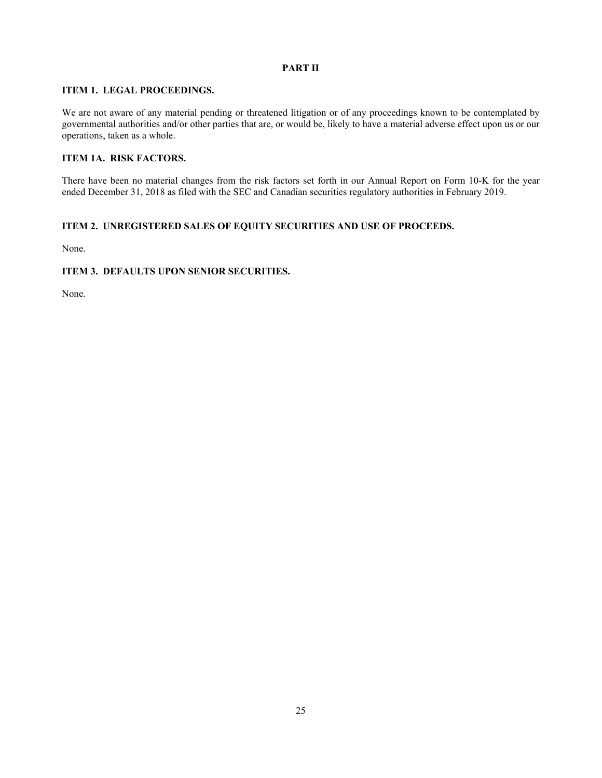## **PART II**

## **ITEM 1. LEGAL PROCEEDINGS.**

We are not aware of any material pending or threatened litigation or of any proceedings known to be contemplated by governmental authorities and/or other parties that are, or would be, likely to have a material adverse effect upon us or our operations, taken as a whole.

## **ITEM 1A. RISK FACTORS.**

There have been no material changes from the risk factors set forth in our Annual Report on Form 10-K for the year ended December 31, 2018 as filed with the SEC and Canadian securities regulatory authorities in February 2019.

## **ITEM 2. UNREGISTERED SALES OF EQUITY SECURITIES AND USE OF PROCEEDS.**

None.

## **ITEM 3. DEFAULTS UPON SENIOR SECURITIES.**

None.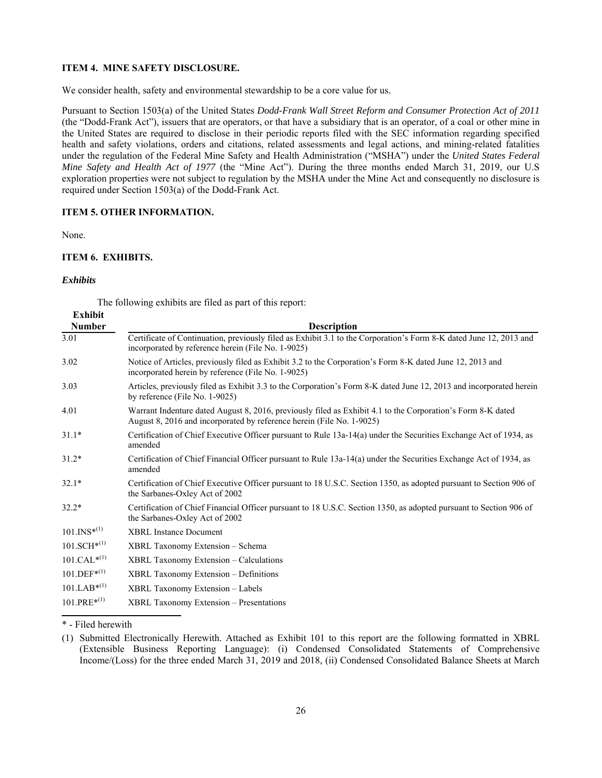### **ITEM 4. MINE SAFETY DISCLOSURE.**

We consider health, safety and environmental stewardship to be a core value for us.

Pursuant to Section 1503(a) of the United States *Dodd-Frank Wall Street Reform and Consumer Protection Act of 2011* (the "Dodd-Frank Act"), issuers that are operators, or that have a subsidiary that is an operator, of a coal or other mine in the United States are required to disclose in their periodic reports filed with the SEC information regarding specified health and safety violations, orders and citations, related assessments and legal actions, and mining-related fatalities under the regulation of the Federal Mine Safety and Health Administration ("MSHA") under the *United States Federal Mine Safety and Health Act of 1977* (the "Mine Act"). During the three months ended March 31, 2019, our U.S exploration properties were not subject to regulation by the MSHA under the Mine Act and consequently no disclosure is required under Section 1503(a) of the Dodd-Frank Act.

#### **ITEM 5. OTHER INFORMATION.**

None.

### **ITEM 6. EXHIBITS.**

### *Exhibits*

**Exhibit**

The following exhibits are filed as part of this report:

| EXHIDIU                    |                                                                                                                                                                                      |
|----------------------------|--------------------------------------------------------------------------------------------------------------------------------------------------------------------------------------|
| <b>Number</b>              | <b>Description</b>                                                                                                                                                                   |
| 3.01                       | Certificate of Continuation, previously filed as Exhibit 3.1 to the Corporation's Form 8-K dated June 12, 2013 and<br>incorporated by reference herein (File No. 1-9025)             |
| 3.02                       | Notice of Articles, previously filed as Exhibit 3.2 to the Corporation's Form 8-K dated June 12, 2013 and<br>incorporated herein by reference (File No. 1-9025)                      |
| 3.03                       | Articles, previously filed as Exhibit 3.3 to the Corporation's Form 8-K dated June 12, 2013 and incorporated herein<br>by reference (File No. 1-9025)                                |
| 4.01                       | Warrant Indenture dated August 8, 2016, previously filed as Exhibit 4.1 to the Corporation's Form 8-K dated<br>August 8, 2016 and incorporated by reference herein (File No. 1-9025) |
| $31.1*$                    | Certification of Chief Executive Officer pursuant to Rule 13a-14(a) under the Securities Exchange Act of 1934, as<br>amended                                                         |
| $31.2*$                    | Certification of Chief Financial Officer pursuant to Rule 13a-14(a) under the Securities Exchange Act of 1934, as<br>amended                                                         |
| $32.1*$                    | Certification of Chief Executive Officer pursuant to 18 U.S.C. Section 1350, as adopted pursuant to Section 906 of<br>the Sarbanes-Oxley Act of 2002                                 |
| $32.2*$                    | Certification of Chief Financial Officer pursuant to 18 U.S.C. Section 1350, as adopted pursuant to Section 906 of<br>the Sarbanes-Oxley Act of 2002                                 |
| $101.$ INS <sup>*(1)</sup> | <b>XBRL</b> Instance Document                                                                                                                                                        |
| $101.SCH^{*(1)}$           | XBRL Taxonomy Extension - Schema                                                                                                                                                     |
| $101.CAL^{*(1)}$           | <b>XBRL Taxonomy Extension – Calculations</b>                                                                                                                                        |
| $101.$ DEF* $(1)$          | <b>XBRL Taxonomy Extension – Definitions</b>                                                                                                                                         |
| $101.LAB^{*(1)}$           | XBRL Taxonomy Extension - Labels                                                                                                                                                     |
| $101.PRE^{*(1)}$           | <b>XBRL Taxonomy Extension – Presentations</b>                                                                                                                                       |

\* - Filed herewith

<sup>(1)</sup> Submitted Electronically Herewith. Attached as Exhibit 101 to this report are the following formatted in XBRL (Extensible Business Reporting Language): (i) Condensed Consolidated Statements of Comprehensive Income/(Loss) for the three ended March 31, 2019 and 2018, (ii) Condensed Consolidated Balance Sheets at March